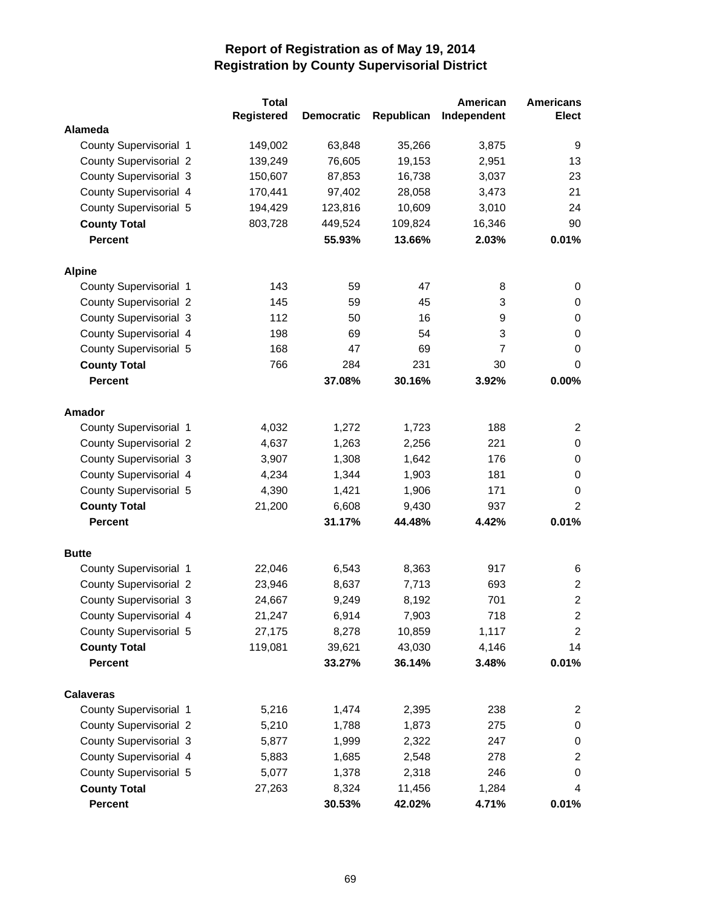|                               | <b>Total</b>      |                   |            | American    | <b>Americans</b> |
|-------------------------------|-------------------|-------------------|------------|-------------|------------------|
|                               | <b>Registered</b> | <b>Democratic</b> | Republican | Independent | <b>Elect</b>     |
| Alameda                       |                   |                   |            |             |                  |
| County Supervisorial 1        | 149,002           | 63,848            | 35,266     | 3,875       | 9                |
| <b>County Supervisorial 2</b> | 139,249           | 76,605            | 19,153     | 2,951       | 13               |
| <b>County Supervisorial 3</b> | 150,607           | 87,853            | 16,738     | 3,037       | 23               |
| County Supervisorial 4        | 170,441           | 97,402            | 28,058     | 3,473       | 21               |
| County Supervisorial 5        | 194,429           | 123,816           | 10,609     | 3,010       | 24               |
| <b>County Total</b>           | 803,728           | 449,524           | 109,824    | 16,346      | 90               |
| Percent                       |                   | 55.93%            | 13.66%     | 2.03%       | 0.01%            |
| <b>Alpine</b>                 |                   |                   |            |             |                  |
| County Supervisorial 1        | 143               | 59                | 47         | 8           | 0                |
| <b>County Supervisorial 2</b> | 145               | 59                | 45         | 3           | 0                |
| <b>County Supervisorial 3</b> | 112               | 50                | 16         | 9           | 0                |
| County Supervisorial 4        | 198               | 69                | 54         | 3           | $\pmb{0}$        |
| County Supervisorial 5        | 168               | 47                | 69         | 7           | $\pmb{0}$        |
| <b>County Total</b>           | 766               | 284               | 231        | 30          | 0                |
| <b>Percent</b>                |                   | 37.08%            | 30.16%     | 3.92%       | 0.00%            |
| <b>Amador</b>                 |                   |                   |            |             |                  |
| County Supervisorial 1        | 4,032             | 1,272             | 1,723      | 188         | $\overline{c}$   |
| <b>County Supervisorial 2</b> | 4,637             | 1,263             | 2,256      | 221         | $\pmb{0}$        |
| <b>County Supervisorial 3</b> | 3,907             | 1,308             | 1,642      | 176         | 0                |
| County Supervisorial 4        | 4,234             | 1,344             | 1,903      | 181         | 0                |
| County Supervisorial 5        | 4,390             | 1,421             | 1,906      | 171         | 0                |
| <b>County Total</b>           | 21,200            | 6,608             | 9,430      | 937         | $\overline{2}$   |
| <b>Percent</b>                |                   | 31.17%            | 44.48%     | 4.42%       | 0.01%            |
| <b>Butte</b>                  |                   |                   |            |             |                  |
| County Supervisorial 1        | 22,046            | 6,543             | 8,363      | 917         | 6                |
| <b>County Supervisorial 2</b> | 23,946            | 8,637             | 7,713      | 693         | $\overline{a}$   |
| <b>County Supervisorial 3</b> | 24,667            | 9,249             | 8,192      | 701         | $\overline{c}$   |
| County Supervisorial 4        | 21,247            | 6,914             | 7,903      | 718         | 2                |
| County Supervisorial 5        | 27,175            | 8,278             | 10,859     | 1,117       | $\overline{c}$   |
| <b>County Total</b>           | 119,081           | 39,621            | 43,030     | 4,146       | 14               |
| <b>Percent</b>                |                   | 33.27%            | 36.14%     | 3.48%       | 0.01%            |
| <b>Calaveras</b>              |                   |                   |            |             |                  |
| County Supervisorial 1        | 5,216             | 1,474             | 2,395      | 238         | 2                |
| <b>County Supervisorial 2</b> | 5,210             | 1,788             | 1,873      | 275         | 0                |
| <b>County Supervisorial 3</b> | 5,877             | 1,999             | 2,322      | 247         | $\pmb{0}$        |
| County Supervisorial 4        | 5,883             | 1,685             | 2,548      | 278         | $\overline{c}$   |
| County Supervisorial 5        | 5,077             | 1,378             | 2,318      | 246         | 0                |
| <b>County Total</b>           | 27,263            | 8,324             | 11,456     | 1,284       | 4                |
| Percent                       |                   | 30.53%            | 42.02%     | 4.71%       | 0.01%            |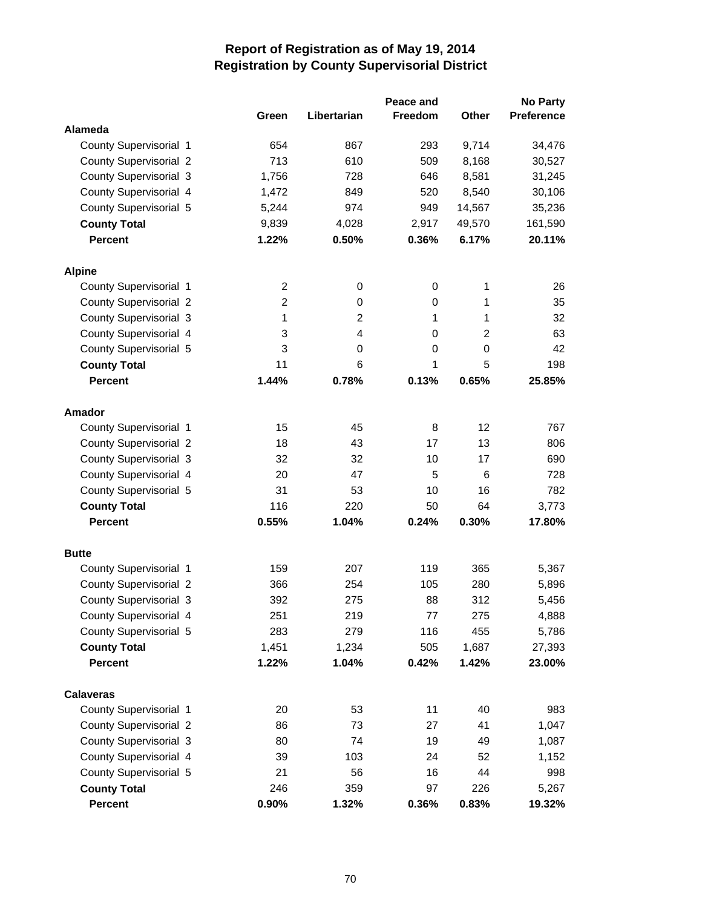|                               |                |                | Peace and      |                | <b>No Party</b>   |
|-------------------------------|----------------|----------------|----------------|----------------|-------------------|
|                               | Green          | Libertarian    | <b>Freedom</b> | <b>Other</b>   | <b>Preference</b> |
| Alameda                       |                |                |                |                |                   |
| County Supervisorial 1        | 654            | 867            | 293            | 9,714          | 34,476            |
| <b>County Supervisorial 2</b> | 713            | 610            | 509            | 8,168          | 30,527            |
| <b>County Supervisorial 3</b> | 1,756          | 728            | 646            | 8,581          | 31,245            |
| County Supervisorial 4        | 1,472          | 849            | 520            | 8,540          | 30,106            |
| County Supervisorial 5        | 5,244          | 974            | 949            | 14,567         | 35,236            |
| <b>County Total</b>           | 9,839          | 4,028          | 2,917          | 49,570         | 161,590           |
| <b>Percent</b>                | 1.22%          | 0.50%          | 0.36%          | 6.17%          | 20.11%            |
| <b>Alpine</b>                 |                |                |                |                |                   |
| County Supervisorial 1        | $\overline{c}$ | 0              | 0              | 1              | 26                |
| <b>County Supervisorial 2</b> | $\overline{2}$ | 0              | 0              | 1              | 35                |
| <b>County Supervisorial 3</b> | 1              | $\overline{2}$ | 1              | 1              | 32                |
| County Supervisorial 4        | 3              | 4              | 0              | $\overline{c}$ | 63                |
| County Supervisorial 5        | 3              | 0              | 0              | 0              | 42                |
| <b>County Total</b>           | 11             | 6              | 1              | 5              | 198               |
| <b>Percent</b>                | 1.44%          | 0.78%          | 0.13%          | 0.65%          | 25.85%            |
| <b>Amador</b>                 |                |                |                |                |                   |
| County Supervisorial 1        | 15             | 45             | 8              | 12             | 767               |
| <b>County Supervisorial 2</b> | 18             | 43             | 17             | 13             | 806               |
| <b>County Supervisorial 3</b> | 32             | 32             | 10             | 17             | 690               |
| County Supervisorial 4        | 20             | 47             | 5              | 6              | 728               |
| County Supervisorial 5        | 31             | 53             | 10             | 16             | 782               |
| <b>County Total</b>           | 116            | 220            | 50             | 64             | 3,773             |
| <b>Percent</b>                | 0.55%          | 1.04%          | 0.24%          | 0.30%          | 17.80%            |
| <b>Butte</b>                  |                |                |                |                |                   |
| County Supervisorial 1        | 159            | 207            | 119            | 365            | 5,367             |
| <b>County Supervisorial 2</b> | 366            | 254            | 105            | 280            | 5,896             |
| <b>County Supervisorial 3</b> | 392            | 275            | 88             | 312            | 5,456             |
| County Supervisorial 4        | 251            | 219            | 77             | 275            | 4,888             |
| County Supervisorial 5        | 283            | 279            | 116            | 455            | 5,786             |
| <b>County Total</b>           | 1,451          | 1,234          | 505            | 1,687          | 27,393            |
| <b>Percent</b>                | 1.22%          | 1.04%          | 0.42%          | 1.42%          | 23.00%            |
| <b>Calaveras</b>              |                |                |                |                |                   |
| County Supervisorial 1        | 20             | 53             | 11             | 40             | 983               |
| <b>County Supervisorial 2</b> | 86             | 73             | 27             | 41             | 1,047             |
| <b>County Supervisorial 3</b> | 80             | 74             | 19             | 49             | 1,087             |
| County Supervisorial 4        | 39             | 103            | 24             | 52             | 1,152             |
| County Supervisorial 5        | 21             | 56             | 16             | 44             | 998               |
| <b>County Total</b>           | 246            | 359            | 97             | 226            | 5,267             |
| <b>Percent</b>                | 0.90%          | 1.32%          | 0.36%          | 0.83%          | 19.32%            |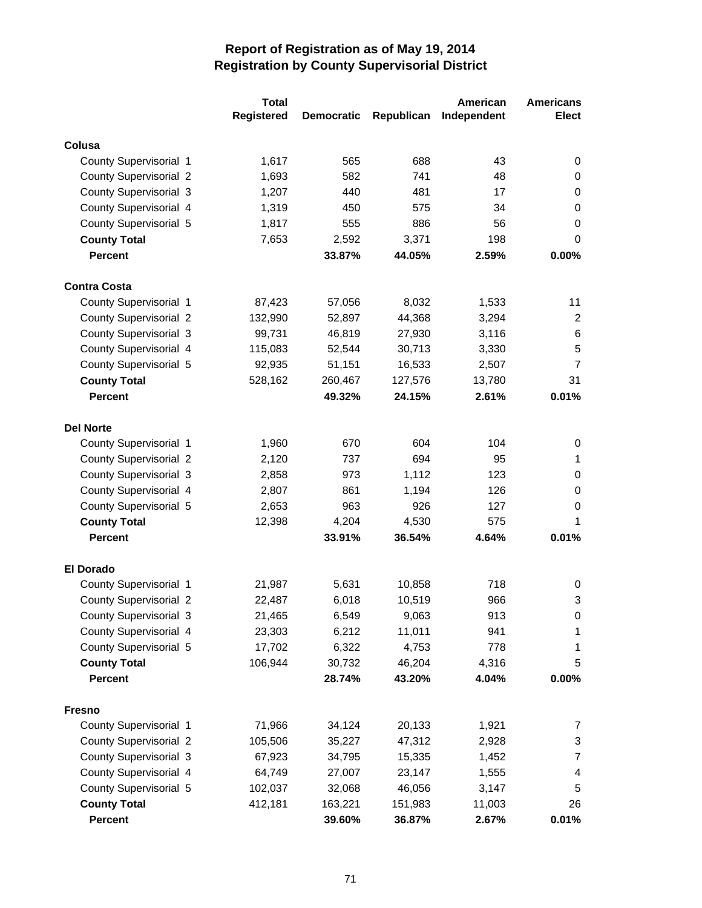|                               | <b>Total</b>      |                   |            | American    | <b>Americans</b> |
|-------------------------------|-------------------|-------------------|------------|-------------|------------------|
|                               | <b>Registered</b> | <b>Democratic</b> | Republican | Independent | <b>Elect</b>     |
| Colusa                        |                   |                   |            |             |                  |
| County Supervisorial 1        | 1,617             | 565               | 688        | 43          | 0                |
| <b>County Supervisorial 2</b> | 1,693             | 582               | 741        | 48          | 0                |
| <b>County Supervisorial 3</b> | 1,207             | 440               | 481        | 17          | 0                |
| County Supervisorial 4        | 1,319             | 450               | 575        | 34          | 0                |
| County Supervisorial 5        | 1,817             | 555               | 886        | 56          | 0                |
| <b>County Total</b>           | 7,653             | 2,592             | 3,371      | 198         | 0                |
| <b>Percent</b>                |                   | 33.87%            | 44.05%     | 2.59%       | 0.00%            |
| <b>Contra Costa</b>           |                   |                   |            |             |                  |
| County Supervisorial 1        | 87,423            | 57,056            | 8,032      | 1,533       | 11               |
| <b>County Supervisorial 2</b> | 132,990           | 52,897            | 44,368     | 3,294       | $\overline{2}$   |
| <b>County Supervisorial 3</b> | 99,731            | 46,819            | 27,930     | 3,116       | 6                |
| County Supervisorial 4        | 115,083           | 52,544            | 30,713     | 3,330       | 5                |
| County Supervisorial 5        | 92,935            | 51,151            | 16,533     | 2,507       | $\overline{7}$   |
| <b>County Total</b>           | 528,162           | 260,467           | 127,576    | 13,780      | 31               |
| <b>Percent</b>                |                   | 49.32%            | 24.15%     | 2.61%       | 0.01%            |
|                               |                   |                   |            |             |                  |
| <b>Del Norte</b>              |                   |                   |            |             |                  |
| County Supervisorial 1        | 1,960             | 670               | 604        | 104         | 0                |
| <b>County Supervisorial 2</b> | 2,120             | 737               | 694        | 95          | 1                |
| <b>County Supervisorial 3</b> | 2,858             | 973               | 1,112      | 123         | 0                |
| County Supervisorial 4        | 2,807             | 861               | 1,194      | 126         | 0                |
| County Supervisorial 5        | 2,653             | 963               | 926        | 127         | 0                |
| <b>County Total</b>           | 12,398            | 4,204             | 4,530      | 575         | 1                |
| <b>Percent</b>                |                   | 33.91%            | 36.54%     | 4.64%       | 0.01%            |
| <b>El Dorado</b>              |                   |                   |            |             |                  |
| County Supervisorial 1        | 21,987            | 5,631             | 10,858     | 718         | 0                |
| <b>County Supervisorial 2</b> | 22,487            | 6,018             | 10,519     | 966         | 3                |
| <b>County Supervisorial 3</b> | 21,465            | 6,549             | 9,063      | 913         | 0                |
| County Supervisorial 4        | 23,303            | 6,212             | 11,011     | 941         | 1                |
| County Supervisorial 5        | 17,702            | 6,322             | 4,753      | 778         | 1                |
| <b>County Total</b>           | 106,944           | 30,732            | 46,204     | 4,316       | 5                |
| <b>Percent</b>                |                   | 28.74%            | 43.20%     | 4.04%       | 0.00%            |
|                               |                   |                   |            |             |                  |
| <b>Fresno</b>                 |                   |                   |            |             |                  |
| County Supervisorial 1        | 71,966            | 34,124            | 20,133     | 1,921       | 7                |
| <b>County Supervisorial 2</b> | 105,506           | 35,227            | 47,312     | 2,928       | 3                |
| <b>County Supervisorial 3</b> | 67,923            | 34,795            | 15,335     | 1,452       | 7                |
| County Supervisorial 4        | 64,749            | 27,007            | 23,147     | 1,555       | 4                |
| County Supervisorial 5        | 102,037           | 32,068            | 46,056     | 3,147       | 5                |
| <b>County Total</b>           | 412,181           | 163,221           | 151,983    | 11,003      | 26               |
| <b>Percent</b>                |                   | 39.60%            | 36.87%     | 2.67%       | 0.01%            |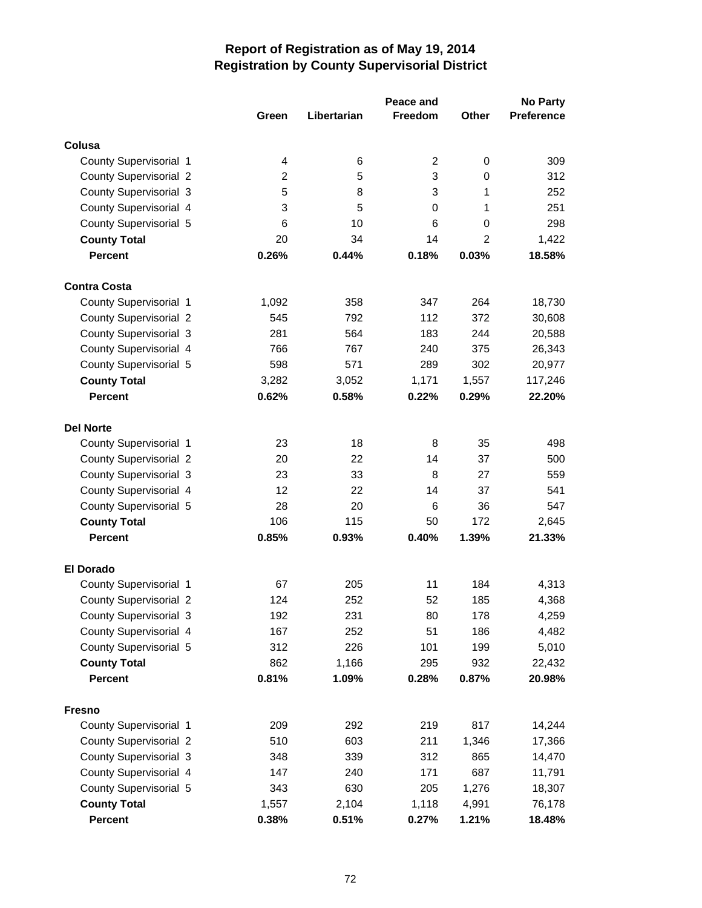|                                                  |                | <b>No Party</b><br>Peace and |                |                |                   |
|--------------------------------------------------|----------------|------------------------------|----------------|----------------|-------------------|
|                                                  | Green          | Libertarian                  | <b>Freedom</b> | <b>Other</b>   | <b>Preference</b> |
| Colusa                                           |                |                              |                |                |                   |
| County Supervisorial 1                           | 4              | 6                            | 2              | 0              | 309               |
| <b>County Supervisorial 2</b>                    | $\overline{2}$ | 5                            | 3              | 0              | 312               |
| <b>County Supervisorial 3</b>                    | 5              | 8                            | 3              | 1              | 252               |
| County Supervisorial 4                           | 3              | 5                            | 0              | 1              | 251               |
| County Supervisorial 5                           | 6              | 10                           | 6              | 0              | 298               |
| <b>County Total</b>                              | 20             | 34                           | 14             | $\overline{2}$ | 1,422             |
| <b>Percent</b>                                   | 0.26%          | 0.44%                        | 0.18%          | 0.03%          | 18.58%            |
|                                                  |                |                              |                |                |                   |
| <b>Contra Costa</b>                              |                |                              |                |                |                   |
| County Supervisorial 1                           | 1,092          | 358                          | 347            | 264            | 18,730            |
| <b>County Supervisorial 2</b>                    | 545            | 792                          | 112            | 372            | 30,608            |
| <b>County Supervisorial 3</b>                    | 281            | 564                          | 183            | 244            | 20,588            |
| County Supervisorial 4                           | 766            | 767                          | 240            | 375            | 26,343            |
| County Supervisorial 5                           | 598            | 571                          | 289            | 302            | 20,977            |
| <b>County Total</b>                              | 3,282          | 3,052                        | 1,171          | 1,557          | 117,246           |
| <b>Percent</b>                                   | 0.62%          | 0.58%                        | 0.22%          | 0.29%          | 22.20%            |
| <b>Del Norte</b>                                 |                |                              |                |                |                   |
| County Supervisorial 1                           | 23             | 18                           | 8              | 35             | 498               |
| <b>County Supervisorial 2</b>                    | 20             | 22                           | 14             | 37             | 500               |
| <b>County Supervisorial 3</b>                    | 23             | 33                           | 8              | 27             | 559               |
| County Supervisorial 4                           | 12             | 22                           | 14             | 37             | 541               |
| County Supervisorial 5                           | 28             | 20                           | 6              | 36             | 547               |
| <b>County Total</b>                              | 106            | 115                          | 50             | 172            | 2,645             |
| <b>Percent</b>                                   | 0.85%          | 0.93%                        | 0.40%          | 1.39%          | 21.33%            |
| <b>El Dorado</b>                                 |                |                              |                |                |                   |
| County Supervisorial 1                           | 67             | 205                          | 11             | 184            | 4,313             |
| <b>County Supervisorial 2</b>                    | 124            | 252                          | 52             | 185            | 4,368             |
| <b>County Supervisorial 3</b>                    | 192            | 231                          | 80             | 178            | 4,259             |
| County Supervisorial 4                           | 167            | 252                          | 51             | 186            | 4,482             |
| County Supervisorial 5                           | 312            | 226                          | 101            | 199            | 5,010             |
| <b>County Total</b>                              | 862            | 1,166                        | 295            | 932            | 22,432            |
| <b>Percent</b>                                   | 0.81%          | 1.09%                        | 0.28%          | 0.87%          | 20.98%            |
|                                                  |                |                              |                |                |                   |
| <b>Fresno</b><br>County Supervisorial 1          | 209            | 292                          | 219            | 817            | 14,244            |
| <b>County Supervisorial 2</b>                    | 510            | 603                          | 211            |                |                   |
| <b>County Supervisorial 3</b>                    | 348            | 339                          | 312            | 1,346<br>865   | 17,366            |
|                                                  |                |                              |                |                | 14,470            |
| County Supervisorial 4<br>County Supervisorial 5 | 147<br>343     | 240<br>630                   | 171<br>205     | 687            | 11,791            |
|                                                  |                |                              |                | 1,276          | 18,307            |
| <b>County Total</b><br>Percent                   | 1,557<br>0.38% | 2,104<br>0.51%               | 1,118<br>0.27% | 4,991<br>1.21% | 76,178<br>18.48%  |
|                                                  |                |                              |                |                |                   |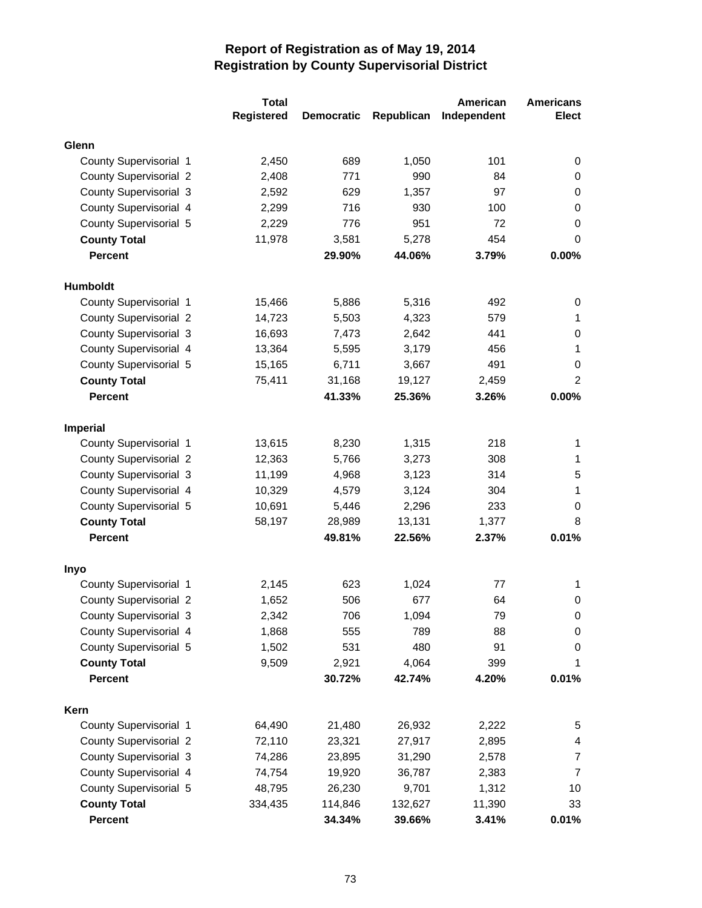|                               | <b>Total</b>      |                   |            | <b>American</b> | <b>Americans</b> |
|-------------------------------|-------------------|-------------------|------------|-----------------|------------------|
|                               | <b>Registered</b> | <b>Democratic</b> | Republican | Independent     | <b>Elect</b>     |
| Glenn                         |                   |                   |            |                 |                  |
| County Supervisorial 1        | 2,450             | 689               | 1,050      | 101             | 0                |
| <b>County Supervisorial 2</b> | 2,408             | 771               | 990        | 84              | 0                |
| <b>County Supervisorial 3</b> | 2,592             | 629               | 1,357      | 97              | 0                |
| County Supervisorial 4        | 2,299             | 716               | 930        | 100             | 0                |
| County Supervisorial 5        | 2,229             | 776               | 951        | 72              | 0                |
| <b>County Total</b>           | 11,978            | 3,581             | 5,278      | 454             | 0                |
| <b>Percent</b>                |                   | 29.90%            | 44.06%     | 3.79%           | 0.00%            |
| <b>Humboldt</b>               |                   |                   |            |                 |                  |
| County Supervisorial 1        | 15,466            | 5,886             | 5,316      | 492             | 0                |
| <b>County Supervisorial 2</b> | 14,723            | 5,503             | 4,323      | 579             | 1                |
| <b>County Supervisorial 3</b> | 16,693            | 7,473             | 2,642      | 441             | 0                |
| County Supervisorial 4        | 13,364            | 5,595             | 3,179      | 456             | 1                |
| County Supervisorial 5        | 15,165            | 6,711             | 3,667      | 491             | 0                |
| <b>County Total</b>           | 75,411            | 31,168            | 19,127     | 2,459           | $\overline{c}$   |
| <b>Percent</b>                |                   | 41.33%            | 25.36%     | 3.26%           | 0.00%            |
|                               |                   |                   |            |                 |                  |
| <b>Imperial</b>               |                   |                   |            |                 |                  |
| County Supervisorial 1        | 13,615            | 8,230             | 1,315      | 218             | 1                |
| <b>County Supervisorial 2</b> | 12,363            | 5,766             | 3,273      | 308             | 1                |
| <b>County Supervisorial 3</b> | 11,199            | 4,968             | 3,123      | 314             | 5                |
| County Supervisorial 4        | 10,329            | 4,579             | 3,124      | 304             | 1                |
| County Supervisorial 5        | 10,691            | 5,446             | 2,296      | 233             | 0                |
| <b>County Total</b>           | 58,197            | 28,989            | 13,131     | 1,377           | 8                |
| <b>Percent</b>                |                   | 49.81%            | 22.56%     | 2.37%           | 0.01%            |
| Inyo                          |                   |                   |            |                 |                  |
| County Supervisorial 1        | 2,145             | 623               | 1,024      | 77              | 1                |
| <b>County Supervisorial 2</b> | 1,652             | 506               | 677        | 64              | 0                |
| <b>County Supervisorial 3</b> | 2,342             | 706               | 1,094      | 79              | 0                |
| County Supervisorial 4        | 1,868             | 555               | 789        | 88              | 0                |
| County Supervisorial 5        | 1,502             | 531               | 480        | 91              | 0                |
| <b>County Total</b>           | 9,509             | 2,921             | 4,064      | 399             | 1                |
| <b>Percent</b>                |                   | 30.72%            | 42.74%     | 4.20%           | 0.01%            |
| <b>Kern</b>                   |                   |                   |            |                 |                  |
| County Supervisorial 1        | 64,490            | 21,480            | 26,932     | 2,222           | 5                |
| <b>County Supervisorial 2</b> | 72,110            | 23,321            | 27,917     | 2,895           | 4                |
| <b>County Supervisorial 3</b> | 74,286            | 23,895            | 31,290     | 2,578           | 7                |
| County Supervisorial 4        | 74,754            | 19,920            | 36,787     | 2,383           | $\overline{7}$   |
| County Supervisorial 5        | 48,795            | 26,230            | 9,701      | 1,312           | 10               |
| <b>County Total</b>           | 334,435           | 114,846           | 132,627    | 11,390          | 33               |
| Percent                       |                   | 34.34%            | 39.66%     | 3.41%           | 0.01%            |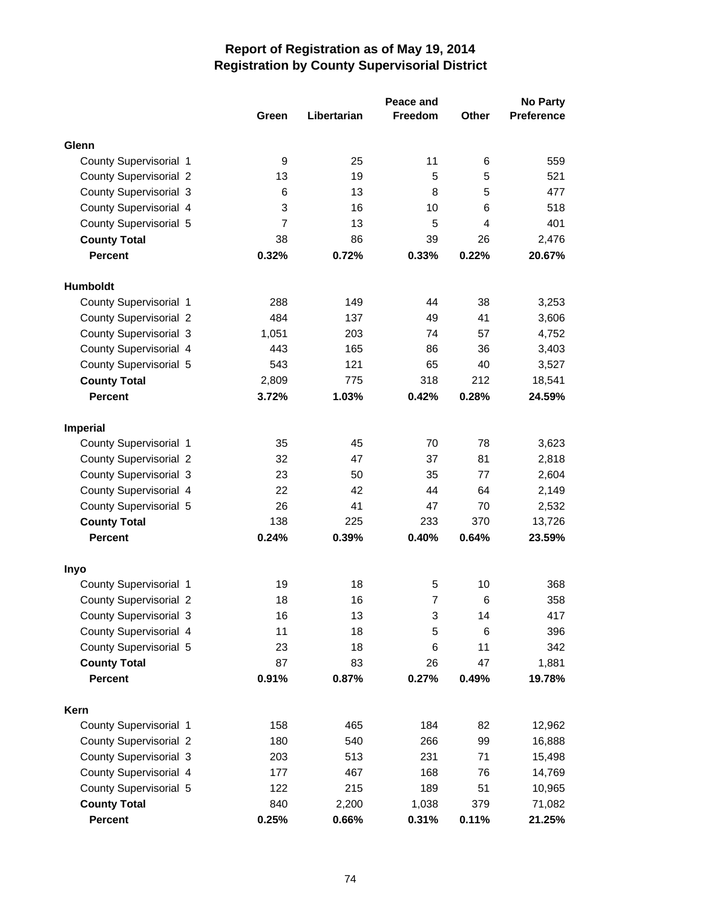|                               |                |             |                | <b>No Party</b> |                   |
|-------------------------------|----------------|-------------|----------------|-----------------|-------------------|
|                               | Green          | Libertarian | <b>Freedom</b> | <b>Other</b>    | <b>Preference</b> |
| Glenn                         |                |             |                |                 |                   |
| County Supervisorial 1        | 9              | 25          | 11             | 6               | 559               |
| <b>County Supervisorial 2</b> | 13             | 19          | 5              | 5               | 521               |
| <b>County Supervisorial 3</b> | 6              | 13          | 8              | 5               | 477               |
| County Supervisorial 4        | 3              | 16          | 10             | 6               | 518               |
| County Supervisorial 5        | $\overline{7}$ | 13          | 5              | 4               | 401               |
| <b>County Total</b>           | 38             | 86          | 39             | 26              | 2,476             |
| <b>Percent</b>                | 0.32%          | 0.72%       | 0.33%          | 0.22%           | 20.67%            |
|                               |                |             |                |                 |                   |
| <b>Humboldt</b>               |                |             |                |                 |                   |
| County Supervisorial 1        | 288            | 149         | 44             | 38              | 3,253             |
| <b>County Supervisorial 2</b> | 484            | 137         | 49             | 41              | 3,606             |
| <b>County Supervisorial 3</b> | 1,051          | 203         | 74             | 57              | 4,752             |
| County Supervisorial 4        | 443            | 165         | 86             | 36              | 3,403             |
| County Supervisorial 5        | 543            | 121         | 65             | 40              | 3,527             |
| <b>County Total</b>           | 2,809          | 775         | 318            | 212             | 18,541            |
| <b>Percent</b>                | 3.72%          | 1.03%       | 0.42%          | 0.28%           | 24.59%            |
| <b>Imperial</b>               |                |             |                |                 |                   |
| County Supervisorial 1        | 35             | 45          | 70             | 78              | 3,623             |
| <b>County Supervisorial 2</b> | 32             | 47          | 37             | 81              | 2,818             |
| County Supervisorial 3        | 23             | 50          | 35             | 77              | 2,604             |
| County Supervisorial 4        | 22             | 42          | 44             | 64              | 2,149             |
| County Supervisorial 5        | 26             | 41          | 47             | 70              | 2,532             |
| <b>County Total</b>           | 138            | 225         | 233            | 370             | 13,726            |
| <b>Percent</b>                | 0.24%          | 0.39%       | 0.40%          | 0.64%           | 23.59%            |
| <b>Inyo</b>                   |                |             |                |                 |                   |
| County Supervisorial 1        | 19             | 18          | 5              | 10              | 368               |
| <b>County Supervisorial 2</b> | 18             | 16          | $\overline{7}$ | 6               | 358               |
| County Supervisorial 3        | 16             | 13          | 3              | 14              | 417               |
| County Supervisorial 4        | 11             | 18          | 5              | 6               | 396               |
| County Supervisorial 5        | 23             | 18          | 6              | 11              | 342               |
| <b>County Total</b>           | 87             | 83          | 26             | 47              | 1,881             |
| <b>Percent</b>                | 0.91%          | 0.87%       | 0.27%          | 0.49%           | 19.78%            |
|                               |                |             |                |                 |                   |
| Kern                          |                |             |                |                 |                   |
| County Supervisorial 1        | 158            | 465         | 184            | 82              | 12,962            |
| <b>County Supervisorial 2</b> | 180            | 540         | 266            | 99              | 16,888            |
| County Supervisorial 3        | 203            | 513         | 231            | 71              | 15,498            |
| County Supervisorial 4        | 177            | 467         | 168            | 76              | 14,769            |
| County Supervisorial 5        | 122            | 215         | 189            | 51              | 10,965            |
| <b>County Total</b>           | 840            | 2,200       | 1,038          | 379             | 71,082            |
| Percent                       | 0.25%          | 0.66%       | 0.31%          | 0.11%           | 21.25%            |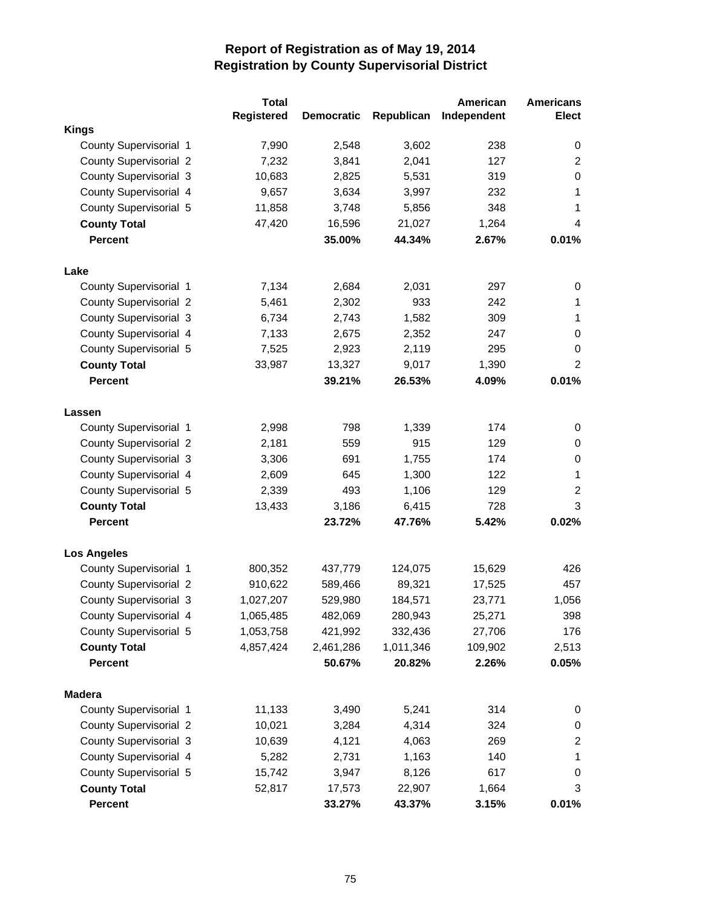|                               | <b>Total</b>      |                   |            | American    | <b>Americans</b> |
|-------------------------------|-------------------|-------------------|------------|-------------|------------------|
|                               | <b>Registered</b> | <b>Democratic</b> | Republican | Independent | <b>Elect</b>     |
| <b>Kings</b>                  |                   |                   |            |             |                  |
| County Supervisorial 1        | 7,990             | 2,548             | 3,602      | 238         | 0                |
| <b>County Supervisorial 2</b> | 7,232             | 3,841             | 2,041      | 127         | $\overline{2}$   |
| <b>County Supervisorial 3</b> | 10,683            | 2,825             | 5,531      | 319         | 0                |
| County Supervisorial 4        | 9,657             | 3,634             | 3,997      | 232         | $\mathbf{1}$     |
| County Supervisorial 5        | 11,858            | 3,748             | 5,856      | 348         | 1                |
| <b>County Total</b>           | 47,420            | 16,596            | 21,027     | 1,264       | 4                |
| <b>Percent</b>                |                   | 35.00%            | 44.34%     | 2.67%       | 0.01%            |
| Lake                          |                   |                   |            |             |                  |
| County Supervisorial 1        | 7,134             | 2,684             | 2,031      | 297         | 0                |
| <b>County Supervisorial 2</b> | 5,461             | 2,302             | 933        | 242         | 1                |
| <b>County Supervisorial 3</b> | 6,734             | 2,743             | 1,582      | 309         | 1                |
| County Supervisorial 4        | 7,133             | 2,675             | 2,352      | 247         | 0                |
| County Supervisorial 5        | 7,525             | 2,923             | 2,119      | 295         | 0                |
| <b>County Total</b>           | 33,987            | 13,327            | 9,017      | 1,390       | $\overline{2}$   |
| <b>Percent</b>                |                   | 39.21%            | 26.53%     | 4.09%       | 0.01%            |
| Lassen                        |                   |                   |            |             |                  |
| County Supervisorial 1        | 2,998             | 798               | 1,339      | 174         | 0                |
| <b>County Supervisorial 2</b> | 2,181             | 559               | 915        | 129         | 0                |
| <b>County Supervisorial 3</b> | 3,306             | 691               | 1,755      | 174         | 0                |
| County Supervisorial 4        | 2,609             | 645               | 1,300      | 122         | 1                |
| County Supervisorial 5        | 2,339             | 493               | 1,106      | 129         | $\overline{c}$   |
| <b>County Total</b>           | 13,433            | 3,186             | 6,415      | 728         | 3                |
| <b>Percent</b>                |                   | 23.72%            | 47.76%     | 5.42%       | 0.02%            |
| <b>Los Angeles</b>            |                   |                   |            |             |                  |
| County Supervisorial 1        | 800,352           | 437,779           | 124,075    | 15,629      | 426              |
| <b>County Supervisorial 2</b> | 910,622           | 589,466           | 89,321     | 17,525      | 457              |
| <b>County Supervisorial 3</b> | 1,027,207         | 529,980           | 184,571    | 23,771      | 1,056            |
| County Supervisorial 4        | 1,065,485         | 482,069           | 280,943    | 25,271      | 398              |
| County Supervisorial 5        | 1,053,758         | 421,992           | 332,436    | 27,706      | 176              |
| <b>County Total</b>           | 4,857,424         | 2,461,286         | 1,011,346  | 109,902     | 2,513            |
| Percent                       |                   | 50.67%            | 20.82%     | 2.26%       | 0.05%            |
| <b>Madera</b>                 |                   |                   |            |             |                  |
| County Supervisorial 1        | 11,133            | 3,490             | 5,241      | 314         | 0                |
| <b>County Supervisorial 2</b> | 10,021            | 3,284             | 4,314      | 324         | 0                |
| County Supervisorial 3        | 10,639            | 4,121             | 4,063      | 269         | $\overline{c}$   |
| County Supervisorial 4        | 5,282             | 2,731             | 1,163      | 140         | $\mathbf{1}$     |
| County Supervisorial 5        | 15,742            | 3,947             | 8,126      | 617         | 0                |
| <b>County Total</b>           | 52,817            | 17,573            | 22,907     | 1,664       | 3                |
| Percent                       |                   | 33.27%            | 43.37%     | 3.15%       | 0.01%            |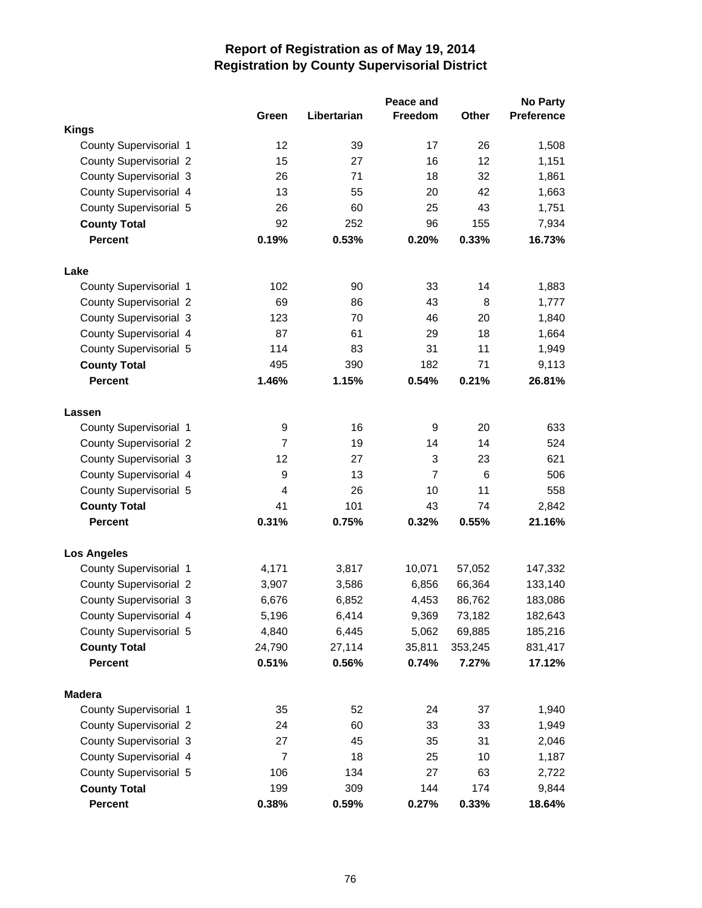|                               |                         |             | Peace and      |              | <b>No Party</b>   |
|-------------------------------|-------------------------|-------------|----------------|--------------|-------------------|
|                               | Green                   | Libertarian | Freedom        | <b>Other</b> | <b>Preference</b> |
| <b>Kings</b>                  |                         |             |                |              |                   |
| <b>County Supervisorial 1</b> | 12                      | 39          | 17             | 26           | 1,508             |
| <b>County Supervisorial 2</b> | 15                      | 27          | 16             | 12           | 1,151             |
| <b>County Supervisorial 3</b> | 26                      | 71          | 18             | 32           | 1,861             |
| County Supervisorial 4        | 13                      | 55          | 20             | 42           | 1,663             |
| <b>County Supervisorial 5</b> | 26                      | 60          | 25             | 43           | 1,751             |
| <b>County Total</b>           | 92                      | 252         | 96             | 155          | 7,934             |
| <b>Percent</b>                | 0.19%                   | 0.53%       | 0.20%          | 0.33%        | 16.73%            |
| Lake                          |                         |             |                |              |                   |
| County Supervisorial 1        | 102                     | 90          | 33             | 14           | 1,883             |
| <b>County Supervisorial 2</b> | 69                      | 86          | 43             | 8            | 1,777             |
| <b>County Supervisorial 3</b> | 123                     | 70          | 46             | 20           | 1,840             |
| County Supervisorial 4        | 87                      | 61          | 29             | 18           | 1,664             |
| County Supervisorial 5        | 114                     | 83          | 31             | 11           | 1,949             |
| <b>County Total</b>           | 495                     | 390         | 182            | 71           | 9,113             |
| <b>Percent</b>                | 1.46%                   | 1.15%       | 0.54%          | 0.21%        | 26.81%            |
| Lassen                        |                         |             |                |              |                   |
| County Supervisorial 1        | 9                       | 16          | 9              | 20           | 633               |
| <b>County Supervisorial 2</b> | $\overline{7}$          | 19          | 14             | 14           | 524               |
| <b>County Supervisorial 3</b> | 12                      | 27          | 3              | 23           | 621               |
| County Supervisorial 4        | 9                       | 13          | $\overline{7}$ | 6            | 506               |
| County Supervisorial 5        | $\overline{\mathbf{4}}$ | 26          | 10             | 11           | 558               |
| <b>County Total</b>           | 41                      | 101         | 43             | 74           | 2,842             |
| <b>Percent</b>                | 0.31%                   | 0.75%       | 0.32%          | 0.55%        | 21.16%            |
| <b>Los Angeles</b>            |                         |             |                |              |                   |
| County Supervisorial 1        | 4,171                   | 3,817       | 10,071         | 57,052       | 147,332           |
| <b>County Supervisorial 2</b> | 3,907                   | 3,586       | 6,856          | 66,364       | 133,140           |
| <b>County Supervisorial 3</b> | 6,676                   | 6,852       | 4,453          | 86,762       | 183,086           |
| County Supervisorial 4        | 5,196                   | 6,414       | 9,369          | 73,182       | 182,643           |
| County Supervisorial 5        | 4,840                   | 6,445       | 5,062          | 69,885       | 185,216           |
| <b>County Total</b>           | 24,790                  | 27,114      | 35,811         | 353,245      | 831,417           |
| <b>Percent</b>                | 0.51%                   | 0.56%       | 0.74%          | 7.27%        | 17.12%            |
| <b>Madera</b>                 |                         |             |                |              |                   |
| County Supervisorial 1        | 35                      | 52          | 24             | 37           | 1,940             |
| <b>County Supervisorial 2</b> | 24                      | 60          | 33             | 33           | 1,949             |
| <b>County Supervisorial 3</b> | 27                      | 45          | 35             | 31           | 2,046             |
| County Supervisorial 4        | $\overline{7}$          | 18          | 25             | 10           | 1,187             |
| County Supervisorial 5        | 106                     | 134         | 27             | 63           | 2,722             |
| <b>County Total</b>           | 199                     | 309         | 144            | 174          | 9,844             |
| Percent                       | 0.38%                   | 0.59%       | 0.27%          | 0.33%        | 18.64%            |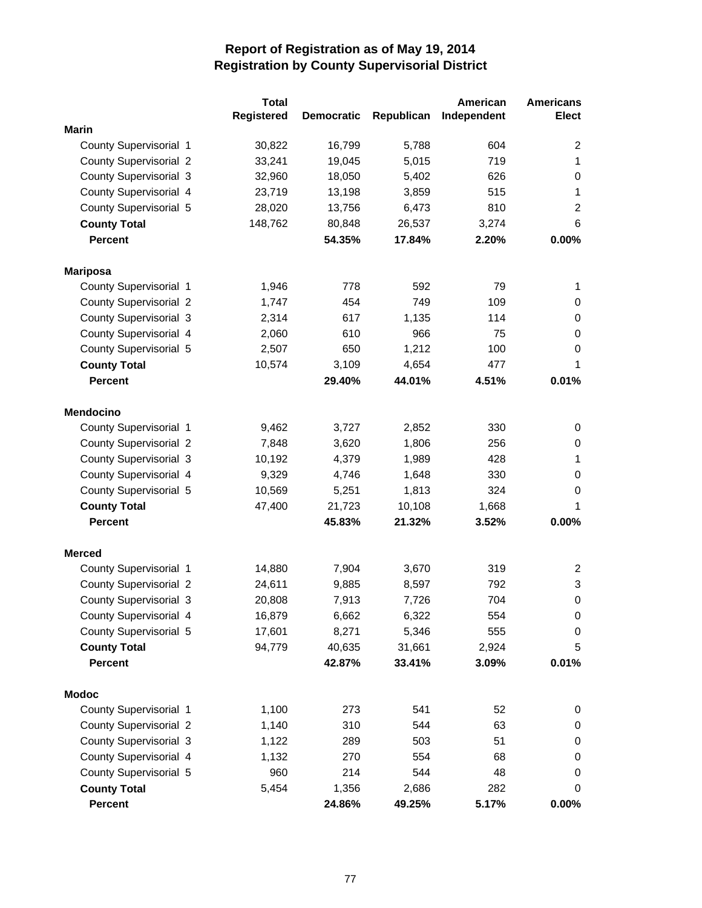|                               | <b>Total</b>      |                   |            | American    | <b>Americans</b> |
|-------------------------------|-------------------|-------------------|------------|-------------|------------------|
|                               | <b>Registered</b> | <b>Democratic</b> | Republican | Independent | <b>Elect</b>     |
| <b>Marin</b>                  |                   |                   |            |             |                  |
| County Supervisorial 1        | 30,822            | 16,799            | 5,788      | 604         | 2                |
| <b>County Supervisorial 2</b> | 33,241            | 19,045            | 5,015      | 719         | 1                |
| <b>County Supervisorial 3</b> | 32,960            | 18,050            | 5,402      | 626         | $\pmb{0}$        |
| County Supervisorial 4        | 23,719            | 13,198            | 3,859      | 515         | 1                |
| County Supervisorial 5        | 28,020            | 13,756            | 6,473      | 810         | $\overline{c}$   |
| <b>County Total</b>           | 148,762           | 80,848            | 26,537     | 3,274       | 6                |
| <b>Percent</b>                |                   | 54.35%            | 17.84%     | 2.20%       | 0.00%            |
| <b>Mariposa</b>               |                   |                   |            |             |                  |
| County Supervisorial 1        | 1,946             | 778               | 592        | 79          | 1                |
| <b>County Supervisorial 2</b> | 1,747             | 454               | 749        | 109         | 0                |
| <b>County Supervisorial 3</b> | 2,314             | 617               | 1,135      | 114         | 0                |
| County Supervisorial 4        | 2,060             | 610               | 966        | 75          | 0                |
| County Supervisorial 5        | 2,507             | 650               | 1,212      | 100         | 0                |
| <b>County Total</b>           | 10,574            | 3,109             | 4,654      | 477         | 1                |
| <b>Percent</b>                |                   | 29.40%            | 44.01%     | 4.51%       | 0.01%            |
| <b>Mendocino</b>              |                   |                   |            |             |                  |
| County Supervisorial 1        | 9,462             | 3,727             | 2,852      | 330         | 0                |
| <b>County Supervisorial 2</b> | 7,848             | 3,620             | 1,806      | 256         | 0                |
| <b>County Supervisorial 3</b> | 10,192            | 4,379             | 1,989      | 428         | 1                |
| County Supervisorial 4        | 9,329             | 4,746             | 1,648      | 330         | 0                |
| County Supervisorial 5        | 10,569            | 5,251             | 1,813      | 324         | 0                |
| <b>County Total</b>           | 47,400            | 21,723            | 10,108     | 1,668       | 1                |
| <b>Percent</b>                |                   | 45.83%            | 21.32%     | 3.52%       | 0.00%            |
| <b>Merced</b>                 |                   |                   |            |             |                  |
| County Supervisorial 1        | 14,880            | 7,904             | 3,670      | 319         | 2                |
| <b>County Supervisorial 2</b> | 24,611            | 9,885             | 8,597      | 792         | 3                |
| <b>County Supervisorial 3</b> | 20,808            | 7,913             | 7,726      | 704         | $\mathbf 0$      |
| County Supervisorial 4        | 16,879            | 6,662             | 6,322      | 554         | 0                |
| County Supervisorial 5        | 17,601            | 8,271             | 5,346      | 555         | 0                |
| <b>County Total</b>           | 94,779            | 40,635            | 31,661     | 2,924       | 5                |
| Percent                       |                   | 42.87%            | 33.41%     | 3.09%       | 0.01%            |
| <b>Modoc</b>                  |                   |                   |            |             |                  |
| County Supervisorial 1        | 1,100             | 273               | 541        | 52          | 0                |
| <b>County Supervisorial 2</b> | 1,140             | 310               | 544        | 63          | $\pmb{0}$        |
| <b>County Supervisorial 3</b> | 1,122             | 289               | 503        | 51          | 0                |
| County Supervisorial 4        | 1,132             | 270               | 554        | 68          | 0                |
| County Supervisorial 5        | 960               | 214               | 544        | 48          | 0                |
| <b>County Total</b>           | 5,454             | 1,356             | 2,686      | 282         | 0                |
| Percent                       |                   | 24.86%            | 49.25%     | 5.17%       | 0.00%            |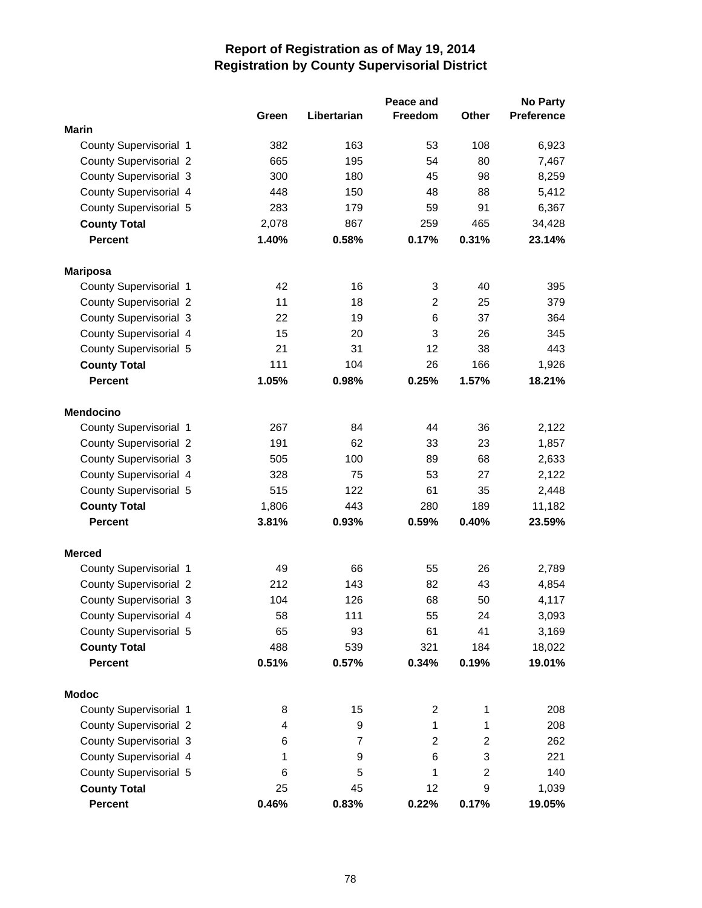|                               |       |                | Peace and      |                | <b>No Party</b>   |
|-------------------------------|-------|----------------|----------------|----------------|-------------------|
|                               | Green | Libertarian    | <b>Freedom</b> | <b>Other</b>   | <b>Preference</b> |
| <b>Marin</b>                  |       |                |                |                |                   |
| County Supervisorial 1        | 382   | 163            | 53             | 108            | 6,923             |
| <b>County Supervisorial 2</b> | 665   | 195            | 54             | 80             | 7,467             |
| County Supervisorial 3        | 300   | 180            | 45             | 98             | 8,259             |
| County Supervisorial 4        | 448   | 150            | 48             | 88             | 5,412             |
| County Supervisorial 5        | 283   | 179            | 59             | 91             | 6,367             |
| <b>County Total</b>           | 2,078 | 867            | 259            | 465            | 34,428            |
| <b>Percent</b>                | 1.40% | 0.58%          | 0.17%          | 0.31%          | 23.14%            |
| <b>Mariposa</b>               |       |                |                |                |                   |
| County Supervisorial 1        | 42    | 16             | 3              | 40             | 395               |
| <b>County Supervisorial 2</b> | 11    | 18             | $\overline{2}$ | 25             | 379               |
| <b>County Supervisorial 3</b> | 22    | 19             | 6              | 37             | 364               |
| County Supervisorial 4        | 15    | 20             | 3              | 26             | 345               |
| County Supervisorial 5        | 21    | 31             | 12             | 38             | 443               |
| <b>County Total</b>           | 111   | 104            | 26             | 166            | 1,926             |
| <b>Percent</b>                | 1.05% | 0.98%          | 0.25%          | 1.57%          | 18.21%            |
| <b>Mendocino</b>              |       |                |                |                |                   |
| County Supervisorial 1        | 267   | 84             | 44             | 36             | 2,122             |
| <b>County Supervisorial 2</b> | 191   | 62             | 33             | 23             | 1,857             |
| County Supervisorial 3        | 505   | 100            | 89             | 68             | 2,633             |
| County Supervisorial 4        | 328   | 75             | 53             | 27             | 2,122             |
| County Supervisorial 5        | 515   | 122            | 61             | 35             | 2,448             |
| <b>County Total</b>           | 1,806 | 443            | 280            | 189            | 11,182            |
| <b>Percent</b>                | 3.81% | 0.93%          | 0.59%          | 0.40%          | 23.59%            |
| <b>Merced</b>                 |       |                |                |                |                   |
| County Supervisorial 1        | 49    | 66             | 55             | 26             | 2,789             |
| <b>County Supervisorial 2</b> | 212   | 143            | 82             | 43             | 4,854             |
| <b>County Supervisorial 3</b> | 104   | 126            | 68             | 50             | 4,117             |
| County Supervisorial 4        | 58    | 111            | 55             | 24             | 3,093             |
| County Supervisorial 5        | 65    | 93             | 61             | 41             | 3,169             |
| <b>County Total</b>           | 488   | 539            | 321            | 184            | 18,022            |
| <b>Percent</b>                | 0.51% | 0.57%          | 0.34%          | 0.19%          | 19.01%            |
| <b>Modoc</b>                  |       |                |                |                |                   |
| County Supervisorial 1        | 8     | 15             | $\overline{2}$ | $\mathbf{1}$   | 208               |
| <b>County Supervisorial 2</b> | 4     | 9              | $\mathbf{1}$   | $\mathbf{1}$   | 208               |
| <b>County Supervisorial 3</b> | 6     | $\overline{7}$ | $\overline{2}$ | $\overline{2}$ | 262               |
| County Supervisorial 4        | 1     | 9              | 6              | 3              | 221               |
| County Supervisorial 5        | 6     | 5              | 1              | $\overline{c}$ | 140               |
| <b>County Total</b>           | 25    | 45             | 12             | 9              | 1,039             |
| Percent                       | 0.46% | 0.83%          | 0.22%          | 0.17%          | 19.05%            |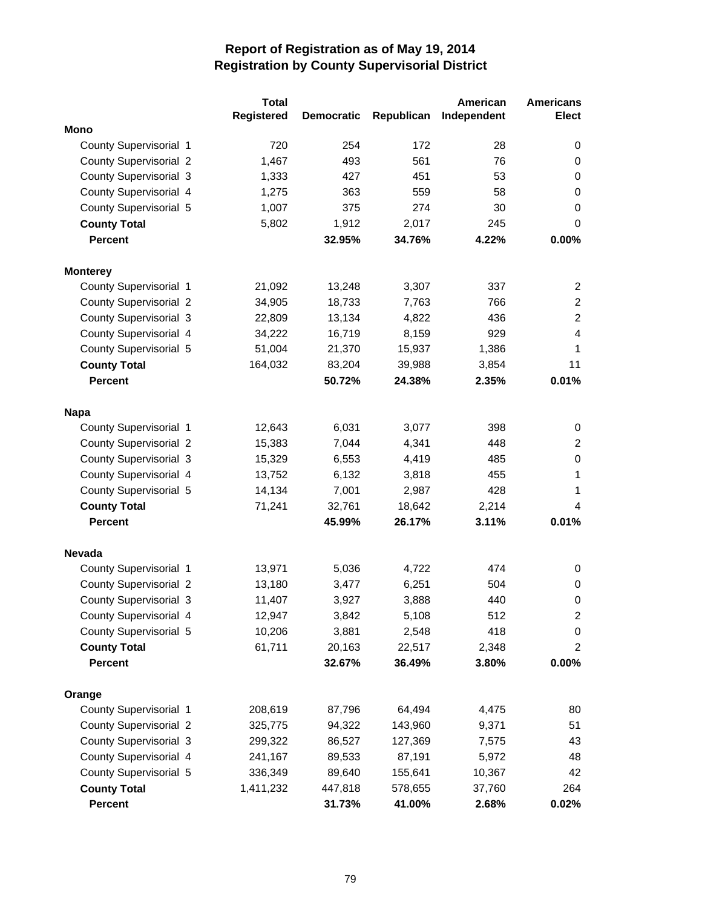|                               | <b>Total</b>      |                   |            | American    | <b>Americans</b> |
|-------------------------------|-------------------|-------------------|------------|-------------|------------------|
|                               | <b>Registered</b> | <b>Democratic</b> | Republican | Independent | <b>Elect</b>     |
| <b>Mono</b>                   |                   |                   |            |             |                  |
| County Supervisorial 1        | 720               | 254               | 172        | 28          | 0                |
| <b>County Supervisorial 2</b> | 1,467             | 493               | 561        | 76          | 0                |
| <b>County Supervisorial 3</b> | 1,333             | 427               | 451        | 53          | 0                |
| County Supervisorial 4        | 1,275             | 363               | 559        | 58          | 0                |
| County Supervisorial 5        | 1,007             | 375               | 274        | 30          | $\mathbf 0$      |
| <b>County Total</b>           | 5,802             | 1,912             | 2,017      | 245         | $\mathbf 0$      |
| <b>Percent</b>                |                   | 32.95%            | 34.76%     | 4.22%       | 0.00%            |
| <b>Monterey</b>               |                   |                   |            |             |                  |
| County Supervisorial 1        | 21,092            | 13,248            | 3,307      | 337         | $\overline{c}$   |
| <b>County Supervisorial 2</b> | 34,905            | 18,733            | 7,763      | 766         | $\overline{2}$   |
| <b>County Supervisorial 3</b> | 22,809            | 13,134            | 4,822      | 436         | $\overline{c}$   |
| County Supervisorial 4        | 34,222            | 16,719            | 8,159      | 929         | 4                |
| County Supervisorial 5        | 51,004            | 21,370            | 15,937     | 1,386       | 1                |
| <b>County Total</b>           | 164,032           | 83,204            | 39,988     | 3,854       | 11               |
| <b>Percent</b>                |                   | 50.72%            | 24.38%     | 2.35%       | 0.01%            |
| <b>Napa</b>                   |                   |                   |            |             |                  |
| County Supervisorial 1        | 12,643            | 6,031             | 3,077      | 398         | 0                |
| <b>County Supervisorial 2</b> | 15,383            | 7,044             | 4,341      | 448         | $\overline{c}$   |
| <b>County Supervisorial 3</b> | 15,329            | 6,553             | 4,419      | 485         | $\mathbf 0$      |
| County Supervisorial 4        | 13,752            | 6,132             | 3,818      | 455         | 1                |
| County Supervisorial 5        | 14,134            | 7,001             | 2,987      | 428         | 1                |
| <b>County Total</b>           | 71,241            | 32,761            | 18,642     | 2,214       | 4                |
| <b>Percent</b>                |                   | 45.99%            | 26.17%     | 3.11%       | 0.01%            |
| <b>Nevada</b>                 |                   |                   |            |             |                  |
| County Supervisorial 1        | 13,971            | 5,036             | 4,722      | 474         | 0                |
| <b>County Supervisorial 2</b> | 13,180            | 3,477             | 6,251      | 504         | 0                |
| <b>County Supervisorial 3</b> | 11,407            | 3,927             | 3,888      | 440         | $\mathbf 0$      |
| County Supervisorial 4        | 12,947            | 3,842             | 5,108      | 512         | $\overline{c}$   |
| County Supervisorial 5        | 10,206            | 3,881             | 2,548      | 418         | $\pmb{0}$        |
| <b>County Total</b>           | 61,711            | 20,163            | 22,517     | 2,348       | $\overline{c}$   |
| <b>Percent</b>                |                   | 32.67%            | 36.49%     | 3.80%       | 0.00%            |
| Orange                        |                   |                   |            |             |                  |
| County Supervisorial 1        | 208,619           | 87,796            | 64,494     | 4,475       | 80               |
| <b>County Supervisorial 2</b> | 325,775           | 94,322            | 143,960    | 9,371       | 51               |
| County Supervisorial 3        | 299,322           | 86,527            | 127,369    | 7,575       | 43               |
| County Supervisorial 4        | 241,167           | 89,533            | 87,191     | 5,972       | 48               |
| County Supervisorial 5        | 336,349           | 89,640            | 155,641    | 10,367      | 42               |
| <b>County Total</b>           | 1,411,232         | 447,818           | 578,655    | 37,760      | 264              |
| Percent                       |                   | 31.73%            | 41.00%     | 2.68%       | 0.02%            |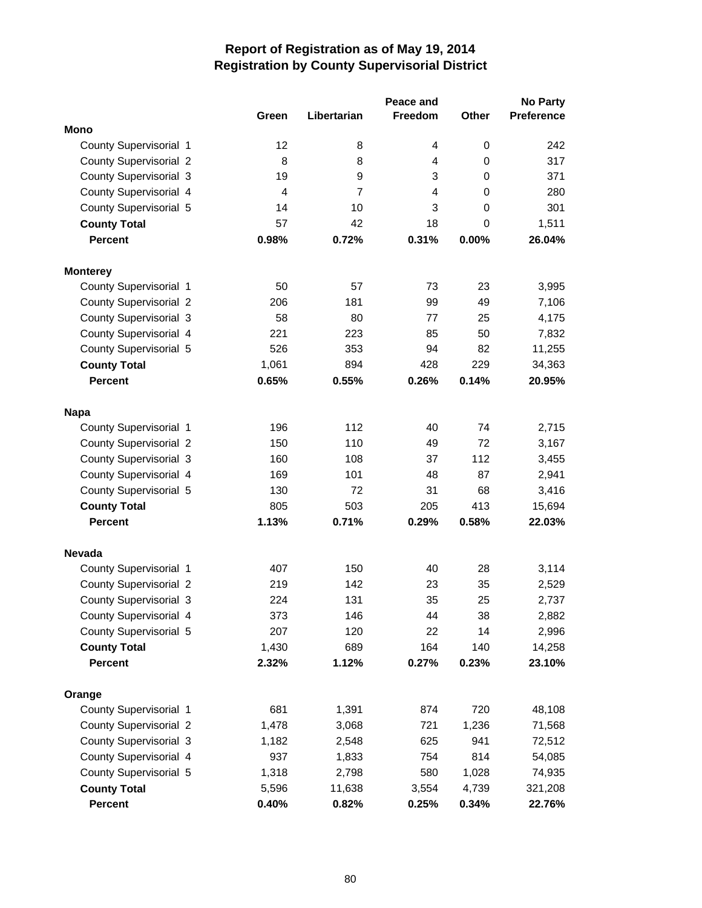|                               |                |                | Peace and      |              | <b>No Party</b>   |
|-------------------------------|----------------|----------------|----------------|--------------|-------------------|
|                               | Green          | Libertarian    | <b>Freedom</b> | <b>Other</b> | <b>Preference</b> |
| Mono                          |                |                |                |              |                   |
| <b>County Supervisorial 1</b> | 12             | 8              | 4              | 0            | 242               |
| <b>County Supervisorial 2</b> | 8              | 8              | 4              | 0            | 317               |
| County Supervisorial 3        | 19             | 9              | 3              | 0            | 371               |
| County Supervisorial 4        | $\overline{4}$ | $\overline{7}$ | 4              | 0            | 280               |
| County Supervisorial 5        | 14             | 10             | 3              | 0            | 301               |
| <b>County Total</b>           | 57             | 42             | 18             | 0            | 1,511             |
| <b>Percent</b>                | 0.98%          | 0.72%          | 0.31%          | 0.00%        | 26.04%            |
| <b>Monterey</b>               |                |                |                |              |                   |
| County Supervisorial 1        | 50             | 57             | 73             | 23           | 3,995             |
| <b>County Supervisorial 2</b> | 206            | 181            | 99             | 49           | 7,106             |
| <b>County Supervisorial 3</b> | 58             | 80             | 77             | 25           | 4,175             |
| County Supervisorial 4        | 221            | 223            | 85             | 50           | 7,832             |
| County Supervisorial 5        | 526            | 353            | 94             | 82           | 11,255            |
| <b>County Total</b>           | 1,061          | 894            | 428            | 229          | 34,363            |
| <b>Percent</b>                | 0.65%          | 0.55%          | 0.26%          | 0.14%        | 20.95%            |
| <b>Napa</b>                   |                |                |                |              |                   |
| County Supervisorial 1        | 196            | 112            | 40             | 74           | 2,715             |
| <b>County Supervisorial 2</b> | 150            | 110            | 49             | 72           | 3,167             |
| County Supervisorial 3        | 160            | 108            | 37             | 112          | 3,455             |
| County Supervisorial 4        | 169            | 101            | 48             | 87           | 2,941             |
| County Supervisorial 5        | 130            | 72             | 31             | 68           | 3,416             |
| <b>County Total</b>           | 805            | 503            | 205            | 413          | 15,694            |
| <b>Percent</b>                | 1.13%          | 0.71%          | 0.29%          | 0.58%        | 22.03%            |
| <b>Nevada</b>                 |                |                |                |              |                   |
| County Supervisorial 1        | 407            | 150            | 40             | 28           | 3,114             |
| <b>County Supervisorial 2</b> | 219            | 142            | 23             | 35           | 2,529             |
| County Supervisorial 3        | 224            | 131            | 35             | 25           | 2,737             |
| County Supervisorial 4        | 373            | 146            | 44             | 38           | 2,882             |
| County Supervisorial 5        | 207            | 120            | 22             | 14           | 2,996             |
| <b>County Total</b>           | 1,430          | 689            | 164            | 140          | 14,258            |
| <b>Percent</b>                | 2.32%          | 1.12%          | 0.27%          | 0.23%        | 23.10%            |
| Orange                        |                |                |                |              |                   |
| County Supervisorial 1        | 681            | 1,391          | 874            | 720          | 48,108            |
| <b>County Supervisorial 2</b> | 1,478          | 3,068          | 721            | 1,236        | 71,568            |
| <b>County Supervisorial 3</b> | 1,182          | 2,548          | 625            | 941          | 72,512            |
| County Supervisorial 4        | 937            | 1,833          | 754            | 814          | 54,085            |
| County Supervisorial 5        | 1,318          | 2,798          | 580            | 1,028        | 74,935            |
| <b>County Total</b>           | 5,596          | 11,638         | 3,554          | 4,739        | 321,208           |
| <b>Percent</b>                | 0.40%          | 0.82%          | 0.25%          | 0.34%        | 22.76%            |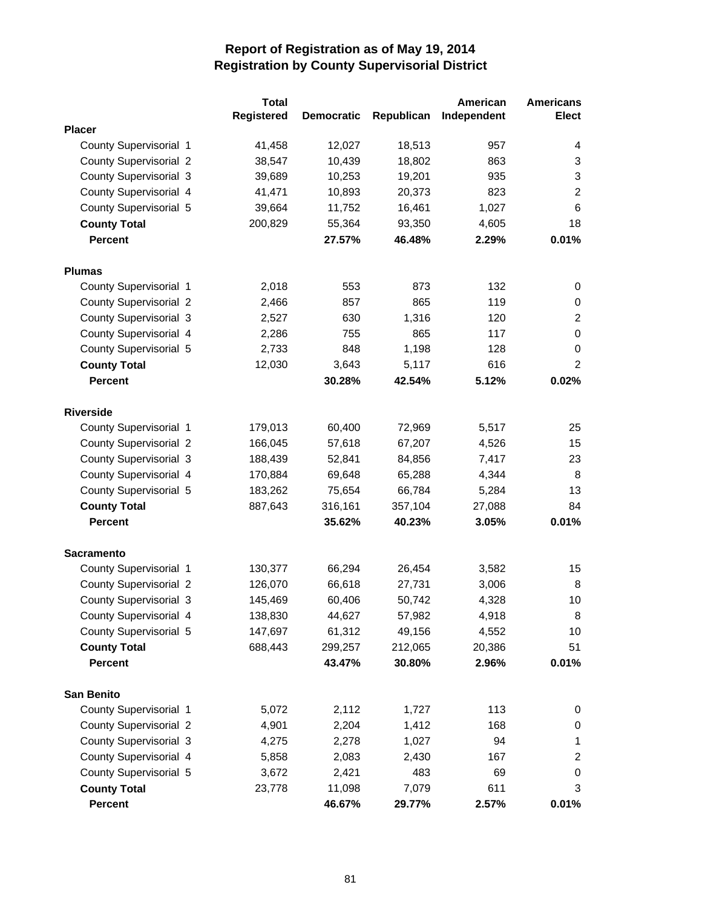|                               | <b>Total</b>      |                   |            | American    | <b>Americans</b>          |
|-------------------------------|-------------------|-------------------|------------|-------------|---------------------------|
|                               | <b>Registered</b> | <b>Democratic</b> | Republican | Independent | <b>Elect</b>              |
| <b>Placer</b>                 |                   |                   |            |             |                           |
| County Supervisorial 1        | 41,458            | 12,027            | 18,513     | 957         | 4                         |
| <b>County Supervisorial 2</b> | 38,547            | 10,439            | 18,802     | 863         | 3                         |
| <b>County Supervisorial 3</b> | 39,689            | 10,253            | 19,201     | 935         | $\ensuremath{\mathsf{3}}$ |
| County Supervisorial 4        | 41,471            | 10,893            | 20,373     | 823         | $\overline{2}$            |
| County Supervisorial 5        | 39,664            | 11,752            | 16,461     | 1,027       | 6                         |
| <b>County Total</b>           | 200,829           | 55,364            | 93,350     | 4,605       | 18                        |
| <b>Percent</b>                |                   | 27.57%            | 46.48%     | 2.29%       | 0.01%                     |
| <b>Plumas</b>                 |                   |                   |            |             |                           |
| County Supervisorial 1        | 2,018             | 553               | 873        | 132         | 0                         |
| <b>County Supervisorial 2</b> | 2,466             | 857               | 865        | 119         | 0                         |
| <b>County Supervisorial 3</b> | 2,527             | 630               | 1,316      | 120         | $\overline{c}$            |
| County Supervisorial 4        | 2,286             | 755               | 865        | 117         | $\mathbf 0$               |
| County Supervisorial 5        | 2,733             | 848               | 1,198      | 128         | 0                         |
| <b>County Total</b>           | 12,030            | 3,643             | 5,117      | 616         | $\overline{2}$            |
| <b>Percent</b>                |                   | 30.28%            | 42.54%     | 5.12%       | 0.02%                     |
| <b>Riverside</b>              |                   |                   |            |             |                           |
| County Supervisorial 1        | 179,013           | 60,400            | 72,969     | 5,517       | 25                        |
| <b>County Supervisorial 2</b> | 166,045           | 57,618            | 67,207     | 4,526       | 15                        |
| <b>County Supervisorial 3</b> | 188,439           | 52,841            | 84,856     | 7,417       | 23                        |
| County Supervisorial 4        | 170,884           | 69,648            | 65,288     | 4,344       | 8                         |
| County Supervisorial 5        | 183,262           | 75,654            | 66,784     | 5,284       | 13                        |
| <b>County Total</b>           | 887,643           | 316,161           | 357,104    | 27,088      | 84                        |
| <b>Percent</b>                |                   | 35.62%            | 40.23%     | 3.05%       | 0.01%                     |
| <b>Sacramento</b>             |                   |                   |            |             |                           |
| County Supervisorial 1        | 130,377           | 66,294            | 26,454     | 3,582       | 15                        |
| <b>County Supervisorial 2</b> | 126,070           | 66,618            | 27,731     | 3,006       | 8                         |
| <b>County Supervisorial 3</b> | 145,469           | 60,406            | 50,742     | 4,328       | 10                        |
| County Supervisorial 4        | 138,830           | 44,627            | 57,982     | 4,918       | 8                         |
| County Supervisorial 5        | 147,697           | 61,312            | 49,156     | 4,552       | 10                        |
| <b>County Total</b>           | 688,443           | 299,257           | 212,065    | 20,386      | 51                        |
| <b>Percent</b>                |                   | 43.47%            | 30.80%     | 2.96%       | 0.01%                     |
| <b>San Benito</b>             |                   |                   |            |             |                           |
| County Supervisorial 1        | 5,072             | 2,112             | 1,727      | 113         | 0                         |
| <b>County Supervisorial 2</b> | 4,901             | 2,204             | 1,412      | 168         | 0                         |
| County Supervisorial 3        | 4,275             | 2,278             | 1,027      | 94          | 1                         |
| County Supervisorial 4        | 5,858             | 2,083             | 2,430      | 167         | $\overline{c}$            |
| County Supervisorial 5        | 3,672             | 2,421             | 483        | 69          | 0                         |
| <b>County Total</b>           | 23,778            | 11,098            | 7,079      | 611         | 3                         |
| Percent                       |                   | 46.67%            | 29.77%     | 2.57%       | 0.01%                     |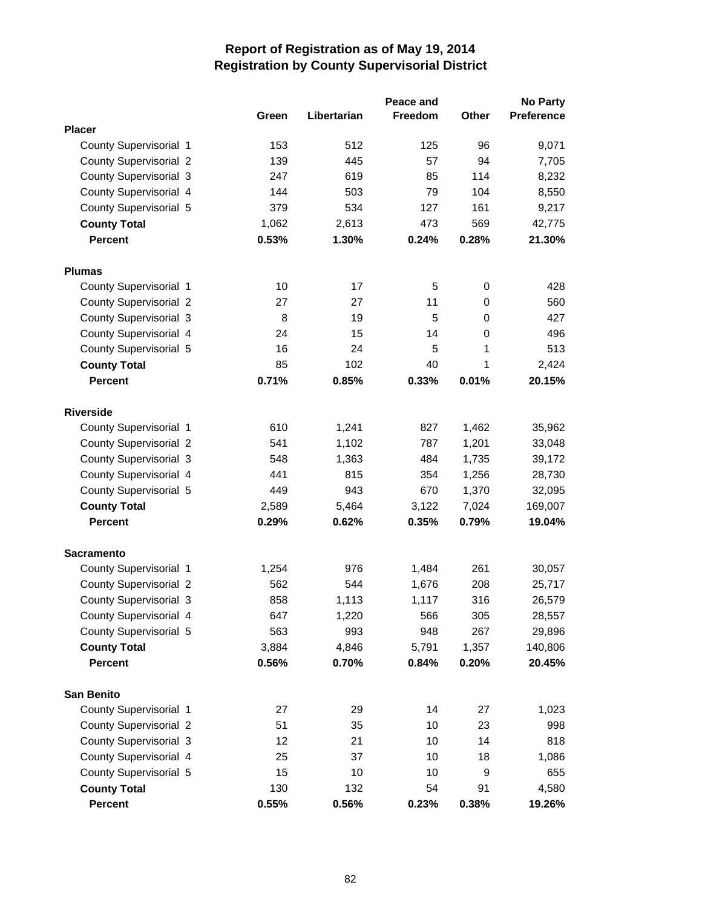|                               |       |             | Peace and      |              | <b>No Party</b>   |
|-------------------------------|-------|-------------|----------------|--------------|-------------------|
|                               | Green | Libertarian | <b>Freedom</b> | <b>Other</b> | <b>Preference</b> |
| <b>Placer</b>                 |       |             |                |              |                   |
| County Supervisorial 1        | 153   | 512         | 125            | 96           | 9,071             |
| <b>County Supervisorial 2</b> | 139   | 445         | 57             | 94           | 7,705             |
| <b>County Supervisorial 3</b> | 247   | 619         | 85             | 114          | 8,232             |
| County Supervisorial 4        | 144   | 503         | 79             | 104          | 8,550             |
| County Supervisorial 5        | 379   | 534         | 127            | 161          | 9,217             |
| <b>County Total</b>           | 1,062 | 2,613       | 473            | 569          | 42,775            |
| <b>Percent</b>                | 0.53% | 1.30%       | 0.24%          | 0.28%        | 21.30%            |
| <b>Plumas</b>                 |       |             |                |              |                   |
| County Supervisorial 1        | 10    | 17          | 5              | 0            | 428               |
| <b>County Supervisorial 2</b> | 27    | 27          | 11             | 0            | 560               |
| County Supervisorial 3        | 8     | 19          | 5              | 0            | 427               |
| County Supervisorial 4        | 24    | 15          | 14             | 0            | 496               |
| County Supervisorial 5        | 16    | 24          | 5              | 1            | 513               |
| <b>County Total</b>           | 85    | 102         | 40             | 1            | 2,424             |
| <b>Percent</b>                | 0.71% | 0.85%       | 0.33%          | 0.01%        | 20.15%            |
| <b>Riverside</b>              |       |             |                |              |                   |
| County Supervisorial 1        | 610   | 1,241       | 827            | 1,462        | 35,962            |
| <b>County Supervisorial 2</b> | 541   | 1,102       | 787            | 1,201        | 33,048            |
| <b>County Supervisorial 3</b> | 548   | 1,363       | 484            | 1,735        | 39,172            |
| County Supervisorial 4        | 441   | 815         | 354            | 1,256        | 28,730            |
| County Supervisorial 5        | 449   | 943         | 670            | 1,370        | 32,095            |
| <b>County Total</b>           | 2,589 | 5,464       | 3,122          | 7,024        | 169,007           |
| <b>Percent</b>                | 0.29% | 0.62%       | 0.35%          | 0.79%        | 19.04%            |
| <b>Sacramento</b>             |       |             |                |              |                   |
| County Supervisorial 1        | 1,254 | 976         | 1,484          | 261          | 30,057            |
| <b>County Supervisorial 2</b> | 562   | 544         | 1,676          | 208          | 25,717            |
| <b>County Supervisorial 3</b> | 858   | 1,113       | 1,117          | 316          | 26,579            |
| County Supervisorial 4        | 647   | 1,220       | 566            | 305          | 28,557            |
| County Supervisorial 5        | 563   | 993         | 948            | 267          | 29,896            |
| <b>County Total</b>           | 3,884 | 4,846       | 5,791          | 1,357        | 140,806           |
| <b>Percent</b>                | 0.56% | 0.70%       | 0.84%          | 0.20%        | 20.45%            |
| <b>San Benito</b>             |       |             |                |              |                   |
| County Supervisorial 1        | 27    | 29          | 14             | 27           | 1,023             |
| <b>County Supervisorial 2</b> | 51    | 35          | 10             | 23           | 998               |
| <b>County Supervisorial 3</b> | 12    | 21          | 10             | 14           | 818               |
| County Supervisorial 4        | 25    | 37          | 10             | 18           | 1,086             |
| County Supervisorial 5        | 15    | 10          | 10             | 9            | 655               |
| <b>County Total</b>           | 130   | 132         | 54             | 91           | 4,580             |
| Percent                       | 0.55% | 0.56%       | 0.23%          | 0.38%        | 19.26%            |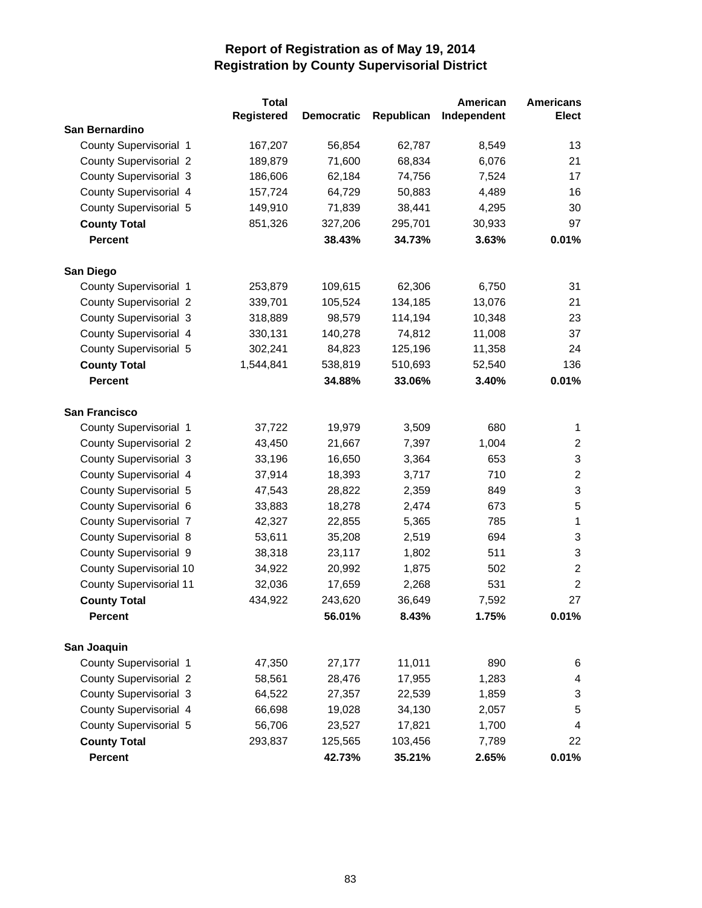|                                       | <b>Total</b>      |                   |            | American    | <b>Americans</b>          |
|---------------------------------------|-------------------|-------------------|------------|-------------|---------------------------|
|                                       | <b>Registered</b> | <b>Democratic</b> | Republican | Independent | Elect                     |
| San Bernardino                        |                   |                   |            |             |                           |
| County Supervisorial 1                | 167,207           | 56,854            | 62,787     | 8,549       | 13                        |
| <b>County Supervisorial 2</b>         | 189,879           | 71,600            | 68,834     | 6,076       | 21                        |
| <b>County Supervisorial 3</b>         | 186,606           | 62,184            | 74,756     | 7,524       | 17                        |
| County Supervisorial 4                | 157,724           | 64,729            | 50,883     | 4,489       | 16                        |
| County Supervisorial 5                | 149,910           | 71,839            | 38,441     | 4,295       | 30                        |
| <b>County Total</b>                   | 851,326           | 327,206           | 295,701    | 30,933      | 97                        |
| <b>Percent</b>                        |                   | 38.43%            | 34.73%     | 3.63%       | 0.01%                     |
|                                       |                   |                   |            |             |                           |
| San Diego                             |                   |                   |            |             |                           |
| County Supervisorial 1                | 253,879           | 109,615           | 62,306     | 6,750       | 31                        |
| <b>County Supervisorial 2</b>         | 339,701           | 105,524           | 134,185    | 13,076      | 21                        |
| <b>County Supervisorial 3</b>         | 318,889           | 98,579            | 114,194    | 10,348      | 23                        |
| County Supervisorial 4                | 330,131           | 140,278           | 74,812     | 11,008      | 37                        |
| County Supervisorial 5                | 302,241           | 84,823            | 125,196    | 11,358      | 24                        |
| <b>County Total</b>                   | 1,544,841         | 538,819           | 510,693    | 52,540      | 136                       |
| <b>Percent</b>                        |                   | 34.88%            | 33.06%     | 3.40%       | 0.01%                     |
|                                       |                   |                   |            |             |                           |
| San Francisco                         |                   |                   |            |             |                           |
| County Supervisorial 1                | 37,722            | 19,979            | 3,509      | 680         | 1                         |
| <b>County Supervisorial 2</b>         | 43,450            | 21,667            | 7,397      | 1,004       | $\overline{c}$            |
| <b>County Supervisorial 3</b>         | 33,196            | 16,650            | 3,364      | 653         | $\ensuremath{\mathsf{3}}$ |
| County Supervisorial 4                | 37,914            | 18,393            | 3,717      | 710         | $\sqrt{2}$                |
| County Supervisorial 5                | 47,543            | 28,822            | 2,359      | 849         | 3                         |
| County Supervisorial 6                | 33,883            | 18,278            | 2,474      | 673         | $\mathbf 5$               |
| <b>County Supervisorial 7</b>         | 42,327            | 22,855            | 5,365      | 785         | $\mathbf{1}$              |
| <b>County Supervisorial 8</b>         | 53,611            | 35,208            | 2,519      | 694         | 3                         |
| County Supervisorial 9                | 38,318            | 23,117            | 1,802      | 511         | $\mathbf{3}$              |
| <b>County Supervisorial 10</b>        | 34,922            | 20,992            | 1,875      | 502         | $\sqrt{2}$                |
| <b>County Supervisorial 11</b>        | 32,036            | 17,659            | 2,268      | 531         | $\overline{2}$            |
| <b>County Total</b>                   | 434,922           | 243,620           | 36,649     | 7,592       | 27                        |
| <b>Percent</b>                        |                   | 56.01%            | 8.43%      | 1.75%       | 0.01%                     |
|                                       |                   |                   |            |             |                           |
| San Joaquin<br>County Supervisorial 1 | 47,350            | 27,177            | 11,011     | 890         |                           |
|                                       |                   |                   |            |             | 6                         |
| <b>County Supervisorial 2</b>         | 58,561            | 28,476            | 17,955     | 1,283       | 4                         |
| <b>County Supervisorial 3</b>         | 64,522            | 27,357            | 22,539     | 1,859       | 3                         |
| County Supervisorial 4                | 66,698            | 19,028            | 34,130     | 2,057       | 5                         |
| County Supervisorial 5                | 56,706            | 23,527            | 17,821     | 1,700       | 4                         |
| <b>County Total</b>                   | 293,837           | 125,565           | 103,456    | 7,789       | 22                        |
| Percent                               |                   | 42.73%            | 35.21%     | 2.65%       | 0.01%                     |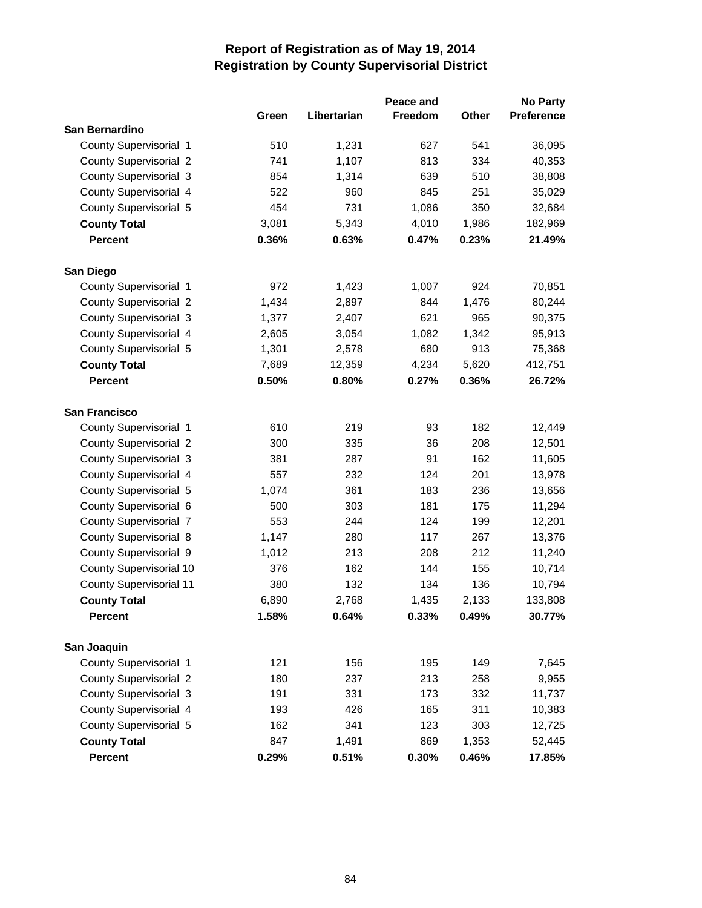|                                |       |             | Peace and      |       | <b>No Party</b>   |
|--------------------------------|-------|-------------|----------------|-------|-------------------|
|                                | Green | Libertarian | <b>Freedom</b> | Other | <b>Preference</b> |
| San Bernardino                 |       |             |                |       |                   |
| County Supervisorial 1         | 510   | 1,231       | 627            | 541   | 36,095            |
| <b>County Supervisorial 2</b>  | 741   | 1,107       | 813            | 334   | 40,353            |
| <b>County Supervisorial 3</b>  | 854   | 1,314       | 639            | 510   | 38,808            |
| County Supervisorial 4         | 522   | 960         | 845            | 251   | 35,029            |
| County Supervisorial 5         | 454   | 731         | 1,086          | 350   | 32,684            |
| <b>County Total</b>            | 3,081 | 5,343       | 4,010          | 1,986 | 182,969           |
| <b>Percent</b>                 | 0.36% | 0.63%       | 0.47%          | 0.23% | 21.49%            |
| San Diego                      |       |             |                |       |                   |
| County Supervisorial 1         | 972   | 1,423       | 1,007          | 924   | 70,851            |
| <b>County Supervisorial 2</b>  | 1,434 | 2,897       | 844            | 1,476 | 80,244            |
| <b>County Supervisorial 3</b>  | 1,377 | 2,407       | 621            | 965   | 90,375            |
| County Supervisorial 4         | 2,605 | 3,054       | 1,082          | 1,342 | 95,913            |
|                                |       |             | 680            | 913   |                   |
| County Supervisorial 5         | 1,301 | 2,578       |                |       | 75,368            |
| <b>County Total</b>            | 7,689 | 12,359      | 4,234          | 5,620 | 412,751           |
| <b>Percent</b>                 | 0.50% | 0.80%       | 0.27%          | 0.36% | 26.72%            |
| <b>San Francisco</b>           |       |             |                |       |                   |
| County Supervisorial 1         | 610   | 219         | 93             | 182   | 12,449            |
| <b>County Supervisorial 2</b>  | 300   | 335         | 36             | 208   | 12,501            |
| <b>County Supervisorial 3</b>  | 381   | 287         | 91             | 162   | 11,605            |
| County Supervisorial 4         | 557   | 232         | 124            | 201   | 13,978            |
| County Supervisorial 5         | 1,074 | 361         | 183            | 236   | 13,656            |
| County Supervisorial 6         | 500   | 303         | 181            | 175   | 11,294            |
| <b>County Supervisorial 7</b>  | 553   | 244         | 124            | 199   | 12,201            |
| <b>County Supervisorial 8</b>  | 1,147 | 280         | 117            | 267   | 13,376            |
| County Supervisorial 9         | 1,012 | 213         | 208            | 212   | 11,240            |
| <b>County Supervisorial 10</b> | 376   | 162         | 144            | 155   | 10,714            |
| <b>County Supervisorial 11</b> | 380   | 132         | 134            | 136   | 10,794            |
| <b>County Total</b>            | 6,890 | 2,768       | 1,435          | 2,133 | 133,808           |
| <b>Percent</b>                 | 1.58% | 0.64%       | 0.33%          | 0.49% | 30.77%            |
| San Joaquin                    |       |             |                |       |                   |
| County Supervisorial 1         | 121   | 156         | 195            | 149   | 7,645             |
| <b>County Supervisorial 2</b>  | 180   | 237         | 213            | 258   | 9,955             |
| <b>County Supervisorial 3</b>  | 191   | 331         | 173            | 332   | 11,737            |
| County Supervisorial 4         | 193   | 426         | 165            | 311   | 10,383            |
| County Supervisorial 5         | 162   | 341         | 123            | 303   | 12,725            |
| <b>County Total</b>            | 847   | 1,491       | 869            | 1,353 | 52,445            |
| Percent                        | 0.29% | 0.51%       | 0.30%          | 0.46% | 17.85%            |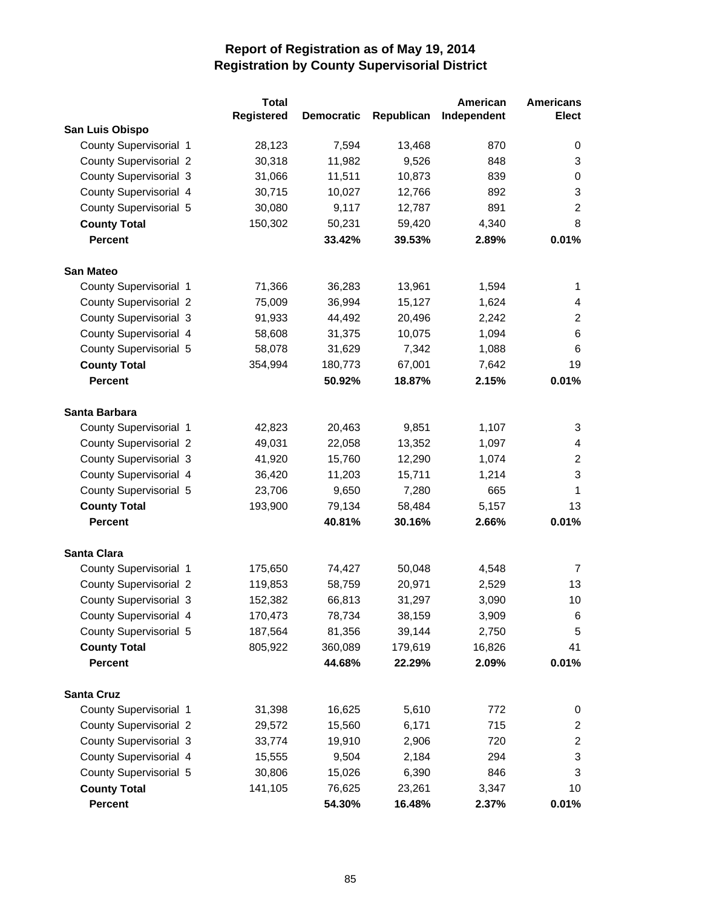|                               | <b>Total</b>      |                   |            | American    | <b>Americans</b>          |
|-------------------------------|-------------------|-------------------|------------|-------------|---------------------------|
|                               | <b>Registered</b> | <b>Democratic</b> | Republican | Independent | <b>Elect</b>              |
| San Luis Obispo               |                   |                   |            |             |                           |
| County Supervisorial 1        | 28,123            | 7,594             | 13,468     | 870         | 0                         |
| <b>County Supervisorial 2</b> | 30,318            | 11,982            | 9,526      | 848         | 3                         |
| <b>County Supervisorial 3</b> | 31,066            | 11,511            | 10,873     | 839         | 0                         |
| County Supervisorial 4        | 30,715            | 10,027            | 12,766     | 892         | $\mathbf{3}$              |
| County Supervisorial 5        | 30,080            | 9,117             | 12,787     | 891         | $\overline{c}$            |
| <b>County Total</b>           | 150,302           | 50,231            | 59,420     | 4,340       | 8                         |
| <b>Percent</b>                |                   | 33.42%            | 39.53%     | 2.89%       | 0.01%                     |
| <b>San Mateo</b>              |                   |                   |            |             |                           |
| County Supervisorial 1        | 71,366            | 36,283            | 13,961     | 1,594       | 1                         |
| <b>County Supervisorial 2</b> | 75,009            | 36,994            | 15,127     | 1,624       | 4                         |
| <b>County Supervisorial 3</b> | 91,933            | 44,492            | 20,496     | 2,242       | $\overline{c}$            |
| County Supervisorial 4        | 58,608            | 31,375            | 10,075     | 1,094       | 6                         |
| County Supervisorial 5        | 58,078            | 31,629            | 7,342      | 1,088       | 6                         |
| <b>County Total</b>           | 354,994           | 180,773           | 67,001     | 7,642       | 19                        |
| <b>Percent</b>                |                   | 50.92%            | 18.87%     | 2.15%       | 0.01%                     |
| Santa Barbara                 |                   |                   |            |             |                           |
| <b>County Supervisorial 1</b> | 42,823            | 20,463            | 9,851      | 1,107       | 3                         |
| <b>County Supervisorial 2</b> | 49,031            | 22,058            | 13,352     | 1,097       | 4                         |
| <b>County Supervisorial 3</b> | 41,920            | 15,760            | 12,290     | 1,074       | $\overline{\mathbf{c}}$   |
| County Supervisorial 4        | 36,420            | 11,203            | 15,711     | 1,214       | 3                         |
| County Supervisorial 5        | 23,706            | 9,650             | 7,280      | 665         | 1                         |
| <b>County Total</b>           | 193,900           | 79,134            | 58,484     | 5,157       | 13                        |
| <b>Percent</b>                |                   | 40.81%            | 30.16%     | 2.66%       | 0.01%                     |
| <b>Santa Clara</b>            |                   |                   |            |             |                           |
| <b>County Supervisorial 1</b> | 175,650           | 74,427            | 50,048     | 4,548       | 7                         |
| <b>County Supervisorial 2</b> | 119,853           | 58,759            | 20,971     | 2,529       | 13                        |
| <b>County Supervisorial 3</b> | 152,382           | 66,813            | 31,297     | 3,090       | 10                        |
| County Supervisorial 4        | 170,473           | 78,734            | 38,159     | 3,909       | 6                         |
| County Supervisorial 5        | 187,564           | 81,356            | 39,144     | 2,750       | $\mathbf 5$               |
| <b>County Total</b>           | 805,922           | 360,089           | 179,619    | 16,826      | 41                        |
| Percent                       |                   | 44.68%            | 22.29%     | 2.09%       | 0.01%                     |
| <b>Santa Cruz</b>             |                   |                   |            |             |                           |
| County Supervisorial 1        | 31,398            | 16,625            | 5,610      | 772         | 0                         |
| <b>County Supervisorial 2</b> | 29,572            | 15,560            | 6,171      | 715         | $\overline{c}$            |
| <b>County Supervisorial 3</b> | 33,774            | 19,910            | 2,906      | 720         | $\overline{c}$            |
| County Supervisorial 4        | 15,555            | 9,504             | 2,184      | 294         | $\ensuremath{\mathsf{3}}$ |
| County Supervisorial 5        | 30,806            | 15,026            | 6,390      | 846         | 3                         |
| <b>County Total</b>           | 141,105           | 76,625            | 23,261     | 3,347       | 10                        |
| Percent                       |                   | 54.30%            | 16.48%     | 2.37%       | 0.01%                     |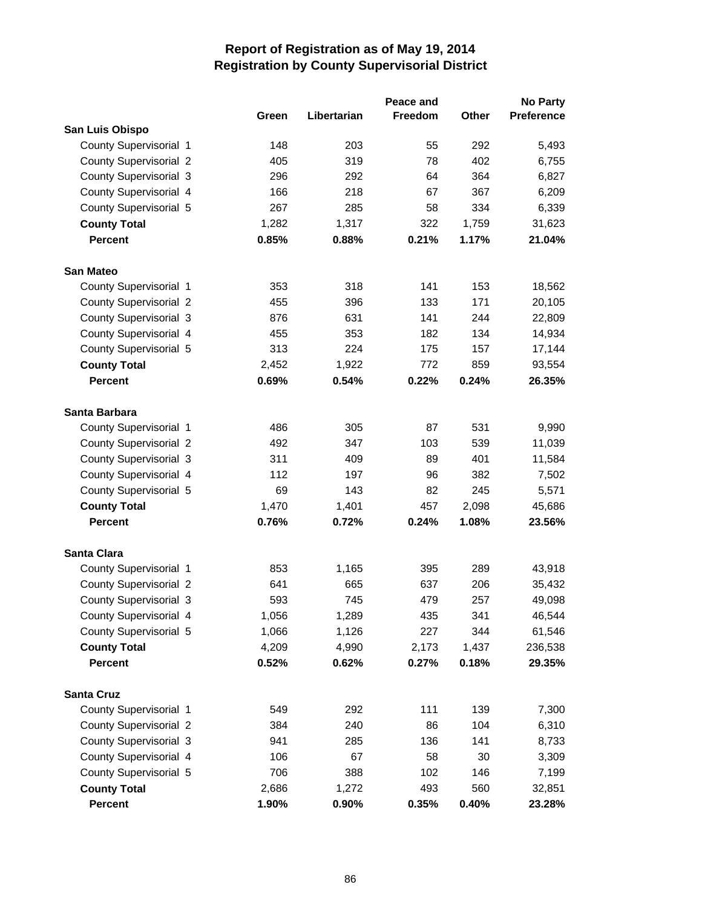|                               |       |             | Peace and      |              | <b>No Party</b>   |
|-------------------------------|-------|-------------|----------------|--------------|-------------------|
|                               | Green | Libertarian | <b>Freedom</b> | <b>Other</b> | <b>Preference</b> |
| San Luis Obispo               |       |             |                |              |                   |
| County Supervisorial 1        | 148   | 203         | 55             | 292          | 5,493             |
| <b>County Supervisorial 2</b> | 405   | 319         | 78             | 402          | 6,755             |
| <b>County Supervisorial 3</b> | 296   | 292         | 64             | 364          | 6,827             |
| County Supervisorial 4        | 166   | 218         | 67             | 367          | 6,209             |
| County Supervisorial 5        | 267   | 285         | 58             | 334          | 6,339             |
| <b>County Total</b>           | 1,282 | 1,317       | 322            | 1,759        | 31,623            |
| <b>Percent</b>                | 0.85% | 0.88%       | 0.21%          | 1.17%        | 21.04%            |
| <b>San Mateo</b>              |       |             |                |              |                   |
| County Supervisorial 1        | 353   | 318         | 141            | 153          | 18,562            |
| <b>County Supervisorial 2</b> | 455   | 396         | 133            | 171          | 20,105            |
| <b>County Supervisorial 3</b> | 876   | 631         | 141            | 244          | 22,809            |
| County Supervisorial 4        | 455   | 353         | 182            | 134          | 14,934            |
| County Supervisorial 5        | 313   | 224         | 175            | 157          | 17,144            |
| <b>County Total</b>           | 2,452 | 1,922       | 772            | 859          | 93,554            |
| <b>Percent</b>                | 0.69% | 0.54%       | 0.22%          | 0.24%        | 26.35%            |
| Santa Barbara                 |       |             |                |              |                   |
| County Supervisorial 1        | 486   | 305         | 87             | 531          | 9,990             |
| <b>County Supervisorial 2</b> | 492   | 347         | 103            | 539          | 11,039            |
| <b>County Supervisorial 3</b> | 311   | 409         | 89             | 401          | 11,584            |
| County Supervisorial 4        | 112   | 197         | 96             | 382          | 7,502             |
| County Supervisorial 5        | 69    | 143         | 82             | 245          | 5,571             |
| <b>County Total</b>           | 1,470 | 1,401       | 457            | 2,098        | 45,686            |
| <b>Percent</b>                | 0.76% | 0.72%       | 0.24%          | 1.08%        | 23.56%            |
| <b>Santa Clara</b>            |       |             |                |              |                   |
| County Supervisorial 1        | 853   | 1,165       | 395            | 289          | 43,918            |
| <b>County Supervisorial 2</b> | 641   | 665         | 637            | 206          | 35,432            |
| <b>County Supervisorial 3</b> | 593   | 745         | 479            | 257          | 49,098            |
| County Supervisorial 4        | 1,056 | 1,289       | 435            | 341          | 46,544            |
| County Supervisorial 5        | 1,066 | 1,126       | 227            | 344          | 61,546            |
| <b>County Total</b>           | 4,209 | 4,990       | 2,173          | 1,437        | 236,538           |
| <b>Percent</b>                | 0.52% | 0.62%       | 0.27%          | 0.18%        | 29.35%            |
| <b>Santa Cruz</b>             |       |             |                |              |                   |
| County Supervisorial 1        | 549   | 292         | 111            | 139          | 7,300             |
| <b>County Supervisorial 2</b> | 384   | 240         | 86             | 104          | 6,310             |
| <b>County Supervisorial 3</b> | 941   | 285         | 136            | 141          | 8,733             |
| County Supervisorial 4        | 106   | 67          | 58             | 30           | 3,309             |
| County Supervisorial 5        | 706   | 388         | 102            | 146          | 7,199             |
| <b>County Total</b>           | 2,686 | 1,272       | 493            | 560          | 32,851            |
| Percent                       | 1.90% | 0.90%       | 0.35%          | 0.40%        | 23.28%            |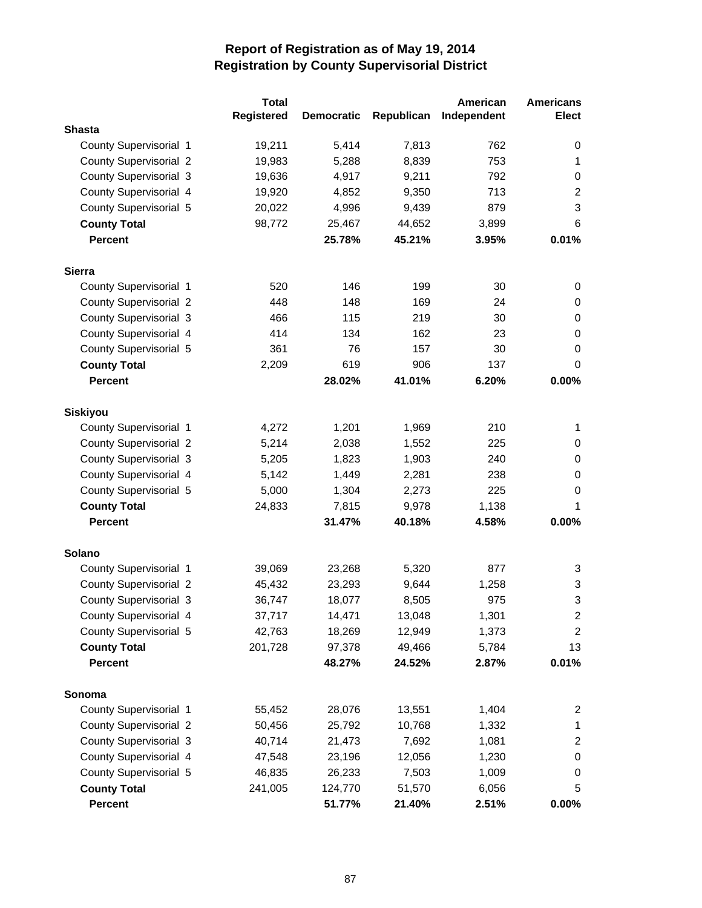|                               | <b>Total</b>      |                   |            | American    | <b>Americans</b>        |
|-------------------------------|-------------------|-------------------|------------|-------------|-------------------------|
|                               | <b>Registered</b> | <b>Democratic</b> | Republican | Independent | <b>Elect</b>            |
| <b>Shasta</b>                 |                   |                   |            |             |                         |
| County Supervisorial 1        | 19,211            | 5,414             | 7,813      | 762         | 0                       |
| <b>County Supervisorial 2</b> | 19,983            | 5,288             | 8,839      | 753         | 1                       |
| <b>County Supervisorial 3</b> | 19,636            | 4,917             | 9,211      | 792         | $\pmb{0}$               |
| County Supervisorial 4        | 19,920            | 4,852             | 9,350      | 713         | $\overline{c}$          |
| County Supervisorial 5        | 20,022            | 4,996             | 9,439      | 879         | 3                       |
| <b>County Total</b>           | 98,772            | 25,467            | 44,652     | 3,899       | 6                       |
| <b>Percent</b>                |                   | 25.78%            | 45.21%     | 3.95%       | 0.01%                   |
| <b>Sierra</b>                 |                   |                   |            |             |                         |
| County Supervisorial 1        | 520               | 146               | 199        | 30          | 0                       |
| <b>County Supervisorial 2</b> | 448               | 148               | 169        | 24          | 0                       |
| <b>County Supervisorial 3</b> | 466               | 115               | 219        | 30          | 0                       |
| County Supervisorial 4        | 414               | 134               | 162        | 23          | $\pmb{0}$               |
| County Supervisorial 5        | 361               | 76                | 157        | 30          | 0                       |
| <b>County Total</b>           | 2,209             | 619               | 906        | 137         | 0                       |
| <b>Percent</b>                |                   | 28.02%            | 41.01%     | 6.20%       | 0.00%                   |
| <b>Siskiyou</b>               |                   |                   |            |             |                         |
| County Supervisorial 1        | 4,272             | 1,201             | 1,969      | 210         | 1                       |
| <b>County Supervisorial 2</b> | 5,214             | 2,038             | 1,552      | 225         | 0                       |
| <b>County Supervisorial 3</b> | 5,205             | 1,823             | 1,903      | 240         | 0                       |
| County Supervisorial 4        | 5,142             | 1,449             | 2,281      | 238         | 0                       |
| County Supervisorial 5        | 5,000             | 1,304             | 2,273      | 225         | 0                       |
| <b>County Total</b>           | 24,833            | 7,815             | 9,978      | 1,138       | 1                       |
| <b>Percent</b>                |                   | 31.47%            | 40.18%     | 4.58%       | 0.00%                   |
| <b>Solano</b>                 |                   |                   |            |             |                         |
| County Supervisorial 1        | 39,069            | 23,268            | 5,320      | 877         | 3                       |
| <b>County Supervisorial 2</b> | 45,432            | 23,293            | 9,644      | 1,258       | 3                       |
| <b>County Supervisorial 3</b> | 36,747            | 18,077            | 8,505      | 975         | 3                       |
| County Supervisorial 4        | 37,717            | 14,471            | 13,048     | 1,301       | 2                       |
| County Supervisorial 5        | 42,763            | 18,269            | 12,949     | 1,373       | $\overline{\mathbf{c}}$ |
| <b>County Total</b>           | 201,728           | 97,378            | 49,466     | 5,784       | 13                      |
| Percent                       |                   | 48.27%            | 24.52%     | 2.87%       | 0.01%                   |
| Sonoma                        |                   |                   |            |             |                         |
| County Supervisorial 1        | 55,452            | 28,076            | 13,551     | 1,404       | 2                       |
| <b>County Supervisorial 2</b> | 50,456            | 25,792            | 10,768     | 1,332       | 1                       |
| <b>County Supervisorial 3</b> | 40,714            | 21,473            | 7,692      | 1,081       | $\overline{\mathbf{c}}$ |
| County Supervisorial 4        | 47,548            | 23,196            | 12,056     | 1,230       | 0                       |
| County Supervisorial 5        | 46,835            | 26,233            | 7,503      | 1,009       | 0                       |
| <b>County Total</b>           | 241,005           | 124,770           | 51,570     | 6,056       | 5                       |
| Percent                       |                   | 51.77%            | 21.40%     | 2.51%       | $0.00\%$                |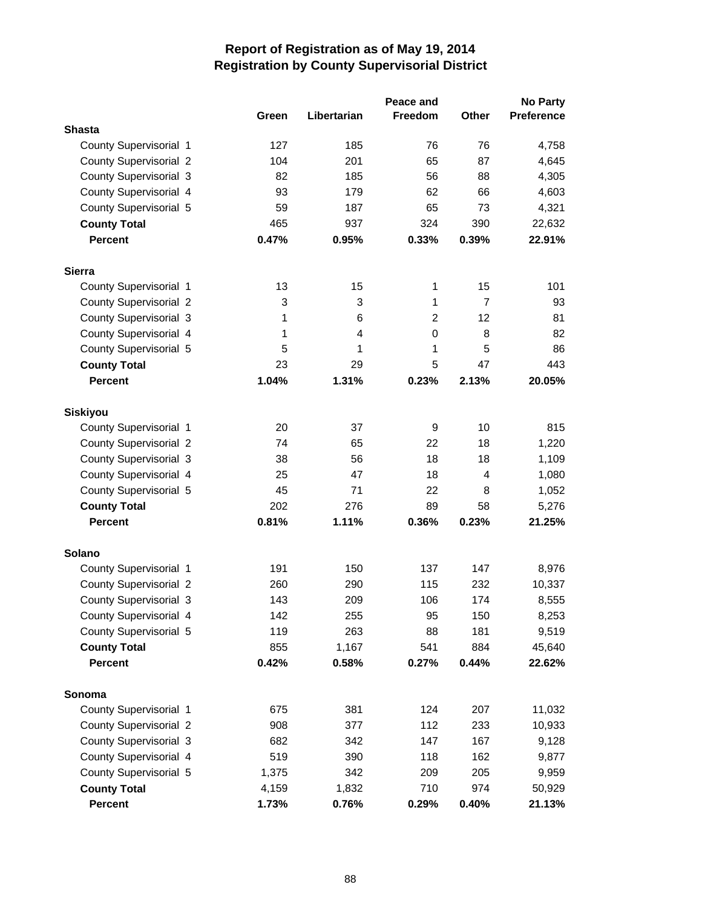|                               |       |             | Peace and      |                | <b>No Party</b>   |
|-------------------------------|-------|-------------|----------------|----------------|-------------------|
|                               | Green | Libertarian | Freedom        | <b>Other</b>   | <b>Preference</b> |
| <b>Shasta</b>                 |       |             |                |                |                   |
| County Supervisorial 1        | 127   | 185         | 76             | 76             | 4,758             |
| <b>County Supervisorial 2</b> | 104   | 201         | 65             | 87             | 4,645             |
| County Supervisorial 3        | 82    | 185         | 56             | 88             | 4,305             |
| County Supervisorial 4        | 93    | 179         | 62             | 66             | 4,603             |
| County Supervisorial 5        | 59    | 187         | 65             | 73             | 4,321             |
| <b>County Total</b>           | 465   | 937         | 324            | 390            | 22,632            |
| <b>Percent</b>                | 0.47% | 0.95%       | 0.33%          | 0.39%          | 22.91%            |
| <b>Sierra</b>                 |       |             |                |                |                   |
| County Supervisorial 1        | 13    | 15          | 1              | 15             | 101               |
| <b>County Supervisorial 2</b> | 3     | 3           | 1              | $\overline{7}$ | 93                |
| <b>County Supervisorial 3</b> | 1     | 6           | $\overline{2}$ | 12             | 81                |
| County Supervisorial 4        | 1     | 4           | 0              | 8              | 82                |
| County Supervisorial 5        | 5     | 1           | 1              | 5              | 86                |
| <b>County Total</b>           | 23    | 29          | 5              | 47             | 443               |
| <b>Percent</b>                | 1.04% | 1.31%       | 0.23%          | 2.13%          | 20.05%            |
| <b>Siskiyou</b>               |       |             |                |                |                   |
| County Supervisorial 1        | 20    | 37          | 9              | 10             | 815               |
| <b>County Supervisorial 2</b> | 74    | 65          | 22             | 18             | 1,220             |
| County Supervisorial 3        | 38    | 56          | 18             | 18             | 1,109             |
| County Supervisorial 4        | 25    | 47          | 18             | 4              | 1,080             |
| County Supervisorial 5        | 45    | 71          | 22             | 8              | 1,052             |
| <b>County Total</b>           | 202   | 276         | 89             | 58             | 5,276             |
| <b>Percent</b>                | 0.81% | 1.11%       | 0.36%          | 0.23%          | 21.25%            |
| <b>Solano</b>                 |       |             |                |                |                   |
| County Supervisorial 1        | 191   | 150         | 137            | 147            | 8,976             |
| <b>County Supervisorial 2</b> | 260   | 290         | 115            | 232            | 10,337            |
| <b>County Supervisorial 3</b> | 143   | 209         | 106            | 174            | 8,555             |
| County Supervisorial 4        | 142   | 255         | 95             | 150            | 8,253             |
| County Supervisorial 5        | 119   | 263         | 88             | 181            | 9,519             |
| <b>County Total</b>           | 855   | 1,167       | 541            | 884            | 45,640            |
| <b>Percent</b>                | 0.42% | 0.58%       | 0.27%          | 0.44%          | 22.62%            |
| Sonoma                        |       |             |                |                |                   |
| County Supervisorial 1        | 675   | 381         | 124            | 207            | 11,032            |
| <b>County Supervisorial 2</b> | 908   | 377         | 112            | 233            | 10,933            |
| <b>County Supervisorial 3</b> | 682   | 342         | 147            | 167            | 9,128             |
| County Supervisorial 4        | 519   | 390         | 118            | 162            | 9,877             |
| County Supervisorial 5        | 1,375 | 342         | 209            | 205            | 9,959             |
| <b>County Total</b>           | 4,159 | 1,832       | 710            | 974            | 50,929            |
| Percent                       | 1.73% | 0.76%       | 0.29%          | 0.40%          | 21.13%            |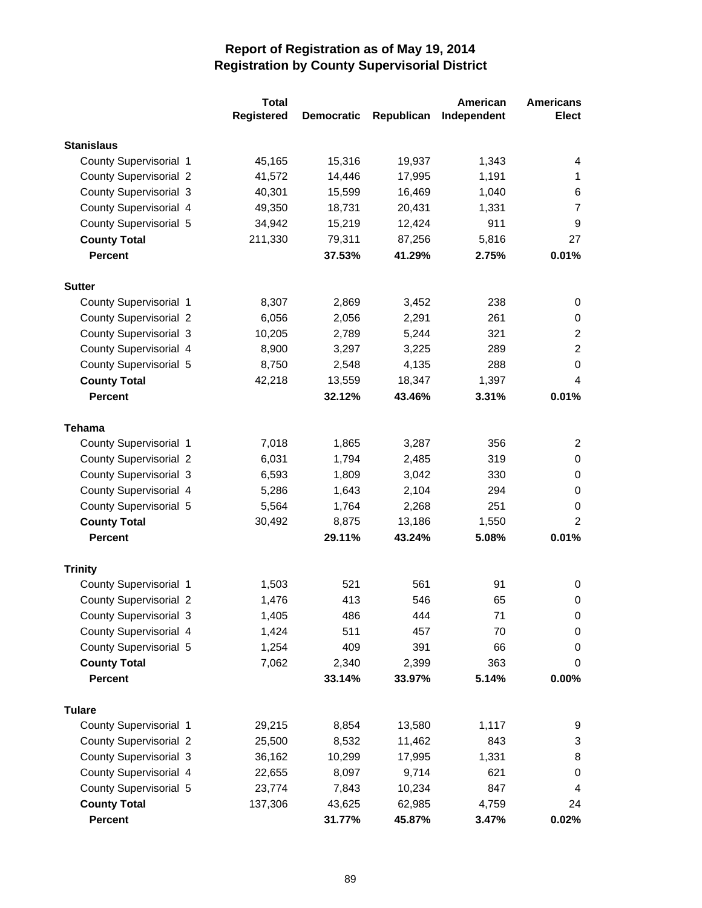|                               | <b>Total</b> |                   |            | American    | <b>Americans</b>                          |
|-------------------------------|--------------|-------------------|------------|-------------|-------------------------------------------|
|                               | Registered   | <b>Democratic</b> | Republican | Independent | <b>Elect</b>                              |
| <b>Stanislaus</b>             |              |                   |            |             |                                           |
| County Supervisorial 1        | 45,165       | 15,316            | 19,937     | 1,343       | 4                                         |
| <b>County Supervisorial 2</b> | 41,572       | 14,446            | 17,995     | 1,191       | 1                                         |
| <b>County Supervisorial 3</b> | 40,301       | 15,599            | 16,469     | 1,040       | 6                                         |
| County Supervisorial 4        | 49,350       | 18,731            | 20,431     | 1,331       | $\overline{7}$                            |
| County Supervisorial 5        | 34,942       | 15,219            | 12,424     | 911         | 9                                         |
| <b>County Total</b>           | 211,330      | 79,311            | 87,256     | 5,816       | 27                                        |
| <b>Percent</b>                |              | 37.53%            | 41.29%     | 2.75%       | 0.01%                                     |
|                               |              |                   |            |             |                                           |
| <b>Sutter</b>                 |              |                   |            |             |                                           |
| County Supervisorial 1        | 8,307        | 2,869             | 3,452      | 238<br>261  | 0                                         |
| <b>County Supervisorial 2</b> | 6,056        | 2,056             | 2,291      |             | 0                                         |
| <b>County Supervisorial 3</b> | 10,205       | 2,789             | 5,244      | 321         | $\overline{\mathbf{c}}$<br>$\overline{c}$ |
| County Supervisorial 4        | 8,900        | 3,297             | 3,225      | 289         | 0                                         |
| County Supervisorial 5        | 8,750        | 2,548             | 4,135      | 288         |                                           |
| <b>County Total</b>           | 42,218       | 13,559            | 18,347     | 1,397       | 4                                         |
| <b>Percent</b>                |              | 32.12%            | 43.46%     | 3.31%       | 0.01%                                     |
| <b>Tehama</b>                 |              |                   |            |             |                                           |
| County Supervisorial 1        | 7,018        | 1,865             | 3,287      | 356         | 2                                         |
| <b>County Supervisorial 2</b> | 6,031        | 1,794             | 2,485      | 319         | 0                                         |
| <b>County Supervisorial 3</b> | 6,593        | 1,809             | 3,042      | 330         | 0                                         |
| County Supervisorial 4        | 5,286        | 1,643             | 2,104      | 294         | 0                                         |
| County Supervisorial 5        | 5,564        | 1,764             | 2,268      | 251         | 0                                         |
| <b>County Total</b>           | 30,492       | 8,875             | 13,186     | 1,550       | $\overline{2}$                            |
| <b>Percent</b>                |              | 29.11%            | 43.24%     | 5.08%       | 0.01%                                     |
| <b>Trinity</b>                |              |                   |            |             |                                           |
| County Supervisorial 1        | 1,503        | 521               | 561        | 91          | 0                                         |
| <b>County Supervisorial 2</b> | 1,476        | 413               | 546        | 65          | 0                                         |
| <b>County Supervisorial 3</b> | 1,405        | 486               | 444        | 71          | 0                                         |
| County Supervisorial 4        | 1,424        | 511               | 457        | 70          | 0                                         |
| County Supervisorial 5        | 1,254        | 409               | 391        | 66          | 0                                         |
| <b>County Total</b>           | 7,062        | 2,340             | 2,399      | 363         | 0                                         |
| <b>Percent</b>                |              | 33.14%            | 33.97%     | 5.14%       | 0.00%                                     |
|                               |              |                   |            |             |                                           |
| <b>Tulare</b>                 |              |                   |            |             |                                           |
| County Supervisorial 1        | 29,215       | 8,854             | 13,580     | 1,117       | 9                                         |
| <b>County Supervisorial 2</b> | 25,500       | 8,532             | 11,462     | 843         | 3                                         |
| <b>County Supervisorial 3</b> | 36,162       | 10,299            | 17,995     | 1,331       | 8                                         |
| County Supervisorial 4        | 22,655       | 8,097             | 9,714      | 621         | 0                                         |
| County Supervisorial 5        | 23,774       | 7,843             | 10,234     | 847         | 4                                         |
| <b>County Total</b>           | 137,306      | 43,625            | 62,985     | 4,759       | 24                                        |
| Percent                       |              | 31.77%            | 45.87%     | 3.47%       | 0.02%                                     |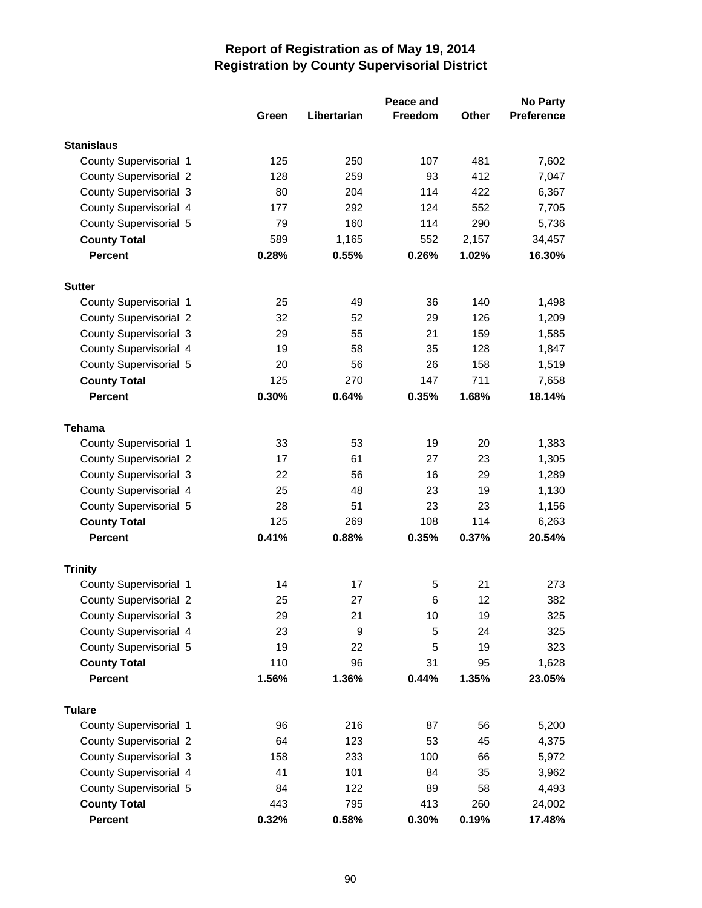|                               |       |             | Peace and      |              | No Party          |
|-------------------------------|-------|-------------|----------------|--------------|-------------------|
|                               | Green | Libertarian | <b>Freedom</b> | <b>Other</b> | <b>Preference</b> |
| <b>Stanislaus</b>             |       |             |                |              |                   |
| County Supervisorial 1        | 125   | 250         | 107            | 481          | 7,602             |
| <b>County Supervisorial 2</b> | 128   | 259         | 93             | 412          | 7,047             |
| <b>County Supervisorial 3</b> | 80    | 204         | 114            | 422          | 6,367             |
| County Supervisorial 4        | 177   | 292         | 124            | 552          | 7,705             |
| County Supervisorial 5        | 79    | 160         | 114            | 290          | 5,736             |
| <b>County Total</b>           | 589   | 1,165       | 552            | 2,157        | 34,457            |
| <b>Percent</b>                | 0.28% | 0.55%       | 0.26%          | 1.02%        | 16.30%            |
| <b>Sutter</b>                 |       |             |                |              |                   |
| County Supervisorial 1        | 25    | 49          | 36             | 140          | 1,498             |
| <b>County Supervisorial 2</b> | 32    | 52          | 29             | 126          | 1,209             |
| <b>County Supervisorial 3</b> | 29    | 55          | 21             | 159          | 1,585             |
| County Supervisorial 4        | 19    | 58          | 35             | 128          | 1,847             |
| County Supervisorial 5        | 20    | 56          | 26             | 158          | 1,519             |
| <b>County Total</b>           | 125   | 270         | 147            | 711          | 7,658             |
| <b>Percent</b>                | 0.30% | 0.64%       | 0.35%          | 1.68%        | 18.14%            |
|                               |       |             |                |              |                   |
| <b>Tehama</b>                 |       |             |                |              |                   |
| County Supervisorial 1        | 33    | 53          | 19             | 20           | 1,383             |
| <b>County Supervisorial 2</b> | 17    | 61          | 27             | 23           | 1,305             |
| <b>County Supervisorial 3</b> | 22    | 56          | 16             | 29           | 1,289             |
| County Supervisorial 4        | 25    | 48          | 23             | 19           | 1,130             |
| County Supervisorial 5        | 28    | 51          | 23             | 23           | 1,156             |
| <b>County Total</b>           | 125   | 269         | 108            | 114          | 6,263             |
| <b>Percent</b>                | 0.41% | 0.88%       | 0.35%          | 0.37%        | 20.54%            |
| <b>Trinity</b>                |       |             |                |              |                   |
| County Supervisorial 1        | 14    | 17          | 5              | 21           | 273               |
| <b>County Supervisorial 2</b> | 25    | 27          | 6              | 12           | 382               |
| County Supervisorial 3        | 29    | 21          | 10             | 19           | 325               |
| County Supervisorial 4        | 23    | 9           | 5              | 24           | 325               |
| County Supervisorial 5        | 19    | 22          | 5              | 19           | 323               |
| <b>County Total</b>           | 110   | 96          | 31             | 95           | 1,628             |
| <b>Percent</b>                | 1.56% | 1.36%       | 0.44%          | 1.35%        | 23.05%            |
| <b>Tulare</b>                 |       |             |                |              |                   |
| County Supervisorial 1        | 96    | 216         | 87             | 56           | 5,200             |
| <b>County Supervisorial 2</b> | 64    | 123         | 53             | 45           | 4,375             |
| <b>County Supervisorial 3</b> | 158   | 233         | 100            | 66           | 5,972             |
| County Supervisorial 4        | 41    | 101         | 84             | 35           | 3,962             |
| County Supervisorial 5        | 84    | 122         | 89             | 58           | 4,493             |
| <b>County Total</b>           | 443   | 795         | 413            | 260          | 24,002            |
| Percent                       | 0.32% | 0.58%       | 0.30%          | 0.19%        | 17.48%            |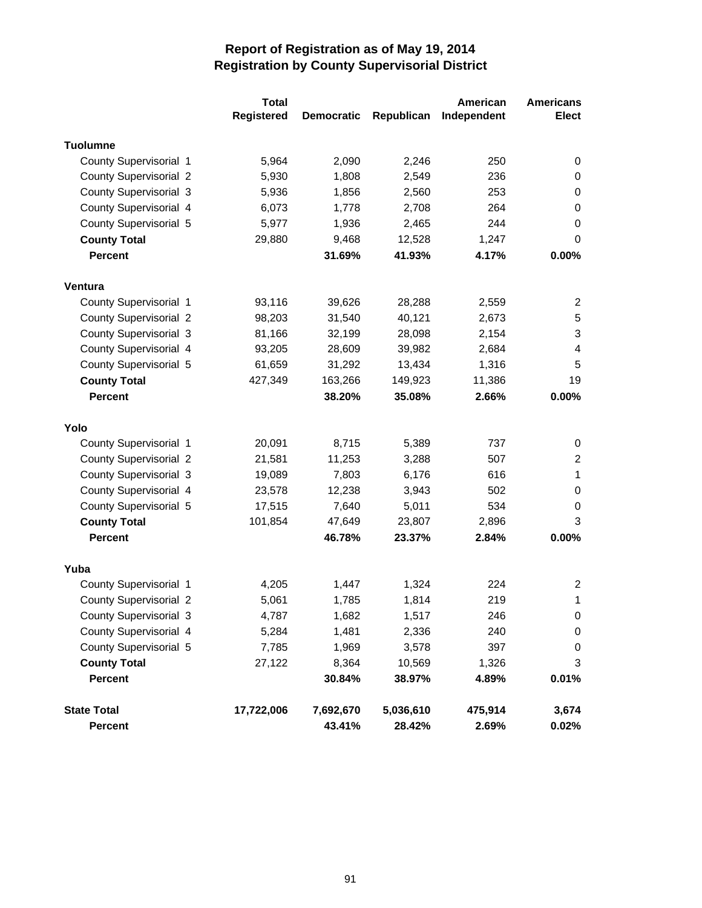|                               | <b>Total</b>      |                   |            | American    | <b>Americans</b>          |
|-------------------------------|-------------------|-------------------|------------|-------------|---------------------------|
|                               | <b>Registered</b> | <b>Democratic</b> | Republican | Independent | <b>Elect</b>              |
| <b>Tuolumne</b>               |                   |                   |            |             |                           |
| County Supervisorial 1        | 5,964             | 2,090             | 2,246      | 250         | 0                         |
| <b>County Supervisorial 2</b> | 5,930             | 1,808             | 2,549      | 236         | 0                         |
| <b>County Supervisorial 3</b> | 5,936             | 1,856             | 2,560      | 253         | 0                         |
| County Supervisorial 4        | 6,073             | 1,778             | 2,708      | 264         | 0                         |
| County Supervisorial 5        | 5,977             | 1,936             | 2,465      | 244         | 0                         |
| <b>County Total</b>           | 29,880            | 9,468             | 12,528     | 1,247       | 0                         |
| <b>Percent</b>                |                   | 31.69%            | 41.93%     | 4.17%       | 0.00%                     |
| Ventura                       |                   |                   |            |             |                           |
| County Supervisorial 1        | 93,116            | 39,626            | 28,288     | 2,559       | 2                         |
| <b>County Supervisorial 2</b> | 98,203            | 31,540            | 40,121     | 2,673       | 5                         |
| <b>County Supervisorial 3</b> | 81,166            | 32,199            | 28,098     | 2,154       | $\ensuremath{\mathsf{3}}$ |
| County Supervisorial 4        | 93,205            | 28,609            | 39,982     | 2,684       | $\overline{4}$            |
| County Supervisorial 5        | 61,659            | 31,292            | 13,434     | 1,316       | 5                         |
| <b>County Total</b>           | 427,349           | 163,266           | 149,923    | 11,386      | 19                        |
| <b>Percent</b>                |                   | 38.20%            | 35.08%     | 2.66%       | 0.00%                     |
| Yolo                          |                   |                   |            |             |                           |
| County Supervisorial 1        | 20,091            | 8,715             | 5,389      | 737         | 0                         |
| <b>County Supervisorial 2</b> | 21,581            | 11,253            | 3,288      | 507         | $\overline{2}$            |
| <b>County Supervisorial 3</b> | 19,089            | 7,803             | 6,176      | 616         | $\mathbf{1}$              |
| County Supervisorial 4        | 23,578            | 12,238            | 3,943      | 502         | 0                         |
| County Supervisorial 5        | 17,515            | 7,640             | 5,011      | 534         | 0                         |
| <b>County Total</b>           | 101,854           | 47,649            | 23,807     | 2,896       | 3                         |
| <b>Percent</b>                |                   | 46.78%            | 23.37%     | 2.84%       | 0.00%                     |
| Yuba                          |                   |                   |            |             |                           |
| County Supervisorial 1        | 4,205             | 1,447             | 1,324      | 224         | 2                         |
| <b>County Supervisorial 2</b> | 5,061             | 1,785             | 1,814      | 219         | 1                         |
| <b>County Supervisorial 3</b> | 4,787             | 1,682             | 1,517      | 246         | 0                         |
| County Supervisorial 4        | 5,284             | 1,481             | 2,336      | 240         | 0                         |
| County Supervisorial 5        | 7,785             | 1,969             | 3,578      | 397         | 0                         |
| <b>County Total</b>           | 27,122            | 8,364             | 10,569     | 1,326       | $\sqrt{3}$                |
| <b>Percent</b>                |                   | 30.84%            | 38.97%     | 4.89%       | 0.01%                     |
| <b>State Total</b>            | 17,722,006        | 7,692,670         | 5,036,610  | 475,914     | 3,674                     |
| <b>Percent</b>                |                   | 43.41%            | 28.42%     | 2.69%       | 0.02%                     |